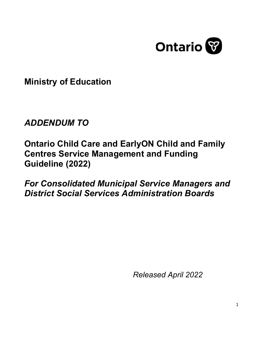

**Ministry of Education**

# *ADDENDUM TO*

**Ontario Child Care and EarlyON Child and Family Centres Service Management and Funding Guideline (2022)**

*For Consolidated Municipal Service Managers and District Social Services Administration Boards*

*Released April 2022*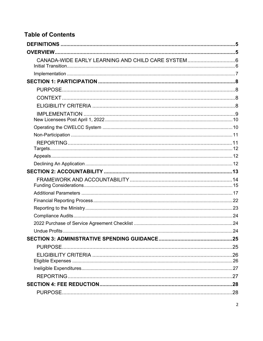# **Table of Contents**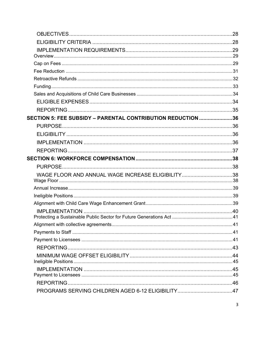| <b>SECTION 5: FEE SUBSIDY - PARENTAL CONTRIBUTION REDUCTION 36</b> |  |
|--------------------------------------------------------------------|--|
|                                                                    |  |
|                                                                    |  |
|                                                                    |  |
|                                                                    |  |
|                                                                    |  |
|                                                                    |  |
| WAGE FLOOR AND ANNUAL WAGE INCREASE ELIGIBILITY38                  |  |
|                                                                    |  |
|                                                                    |  |
|                                                                    |  |
|                                                                    |  |
|                                                                    |  |
|                                                                    |  |
|                                                                    |  |
|                                                                    |  |
|                                                                    |  |
|                                                                    |  |
|                                                                    |  |
|                                                                    |  |
|                                                                    |  |
|                                                                    |  |
|                                                                    |  |
|                                                                    |  |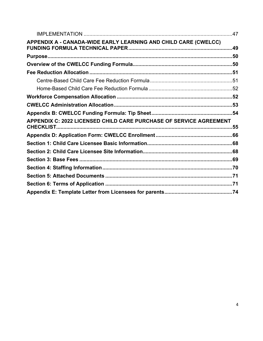| APPENDIX A - CANADA-WIDE EARLY LEARNING AND CHILD CARE (CWELCC)    |  |
|--------------------------------------------------------------------|--|
|                                                                    |  |
|                                                                    |  |
|                                                                    |  |
|                                                                    |  |
|                                                                    |  |
|                                                                    |  |
|                                                                    |  |
|                                                                    |  |
|                                                                    |  |
| APPENDIX C: 2022 LICENSED CHILD CARE PURCHASE OF SERVICE AGREEMENT |  |
|                                                                    |  |
|                                                                    |  |
|                                                                    |  |
|                                                                    |  |
|                                                                    |  |
|                                                                    |  |
|                                                                    |  |
|                                                                    |  |
|                                                                    |  |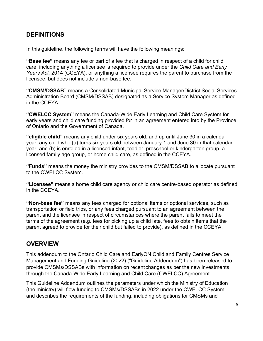# <span id="page-4-0"></span>**DEFINITIONS**

In this guideline, the following terms will have the following meanings:

**"Base fee"** means any fee or part of a fee that is charged in respect of a child for child care, including anything a licensee is required to provide under the *Child Care and Early Years Act,* 2014 (CCEYA), or anything a licensee requires the parent to purchase from the licensee, but does not include a non-base fee.

**"CMSM/DSSAB"** means a Consolidated Municipal Service Manager/District Social Services Administration Board (CMSM/DSSAB) designated as a Service System Manager as defined in the CCEYA*.*

**"CWELCC System"** means the Canada-Wide Early Learning and Child Care System for early years and child care funding provided for in an agreement entered into by the Province of Ontario and the Government of Canada.

**"eligible child"** means any child under six years old; and up until June 30 in a calendar year, any child who (a) turns six years old between January 1 and June 30 in that calendar year, and (b) is enrolled in a licensed infant, toddler, preschool or kindergarten group, a licensed family age group, or home child care, as defined in the CCEYA.

**"Funds"** means the money the ministry provides to the CMSM/DSSAB to allocate pursuant to the CWELCC System.

**"Licensee"** means a home child care agency or child care centre-based operator as defined in the CCEYA.

**"Non-base fee"** means any fees charged for optional items or optional services, such as transportation or field trips, or any fees charged pursuant to an agreement between the parent and the licensee in respect of circumstances where the parent fails to meet the terms of the agreement (e.g. fees for picking up a child late, fees to obtain items that the parent agreed to provide for their child but failed to provide), as defined in the CCEYA.

# <span id="page-4-1"></span>**OVERVIEW**

This addendum to the Ontario Child Care and EarlyON Child and Family Centres Service Management and Funding Guideline (2022) ("Guideline Addendum") has been released to provide CMSMs/DSSABs with information on recent changes as per the new investments through the Canada-Wide Early Learning and Child Care (CWELCC) Agreement.

This Guideline Addendum outlines the parameters under which the Ministry of Education (the ministry) will flow funding to CMSMs/DSSABs in 2022 under the CWELCC System, and describes the requirements of the funding, including obligations for CMSMs and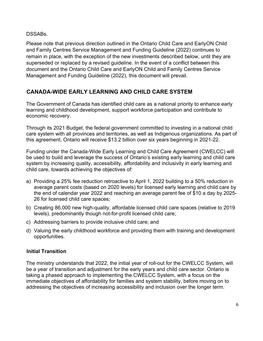#### DSSABs.

Please note that previous direction outlined in the Ontario Child Care and EarlyON Child and Family Centres Service Management and Funding Guideline (2022) continues to remain in place, with the exception of the new investments described below, until they are superseded or replaced by a revised guideline. In the event of a conflict between this document and the Ontario Child Care and EarlyON Child and Family Centres Service Management and Funding Guideline (2022), this document will prevail.

### <span id="page-5-0"></span>**CANADA-WIDE EARLY LEARNING AND CHILD CARE SYSTEM**

The Government of Canada has identified child care as a national priority to enhance early learning and childhood development, support workforce participation and contribute to economic recovery.

Through its 2021 Budget, the federal government committed to investing in a national child care system with all provinces and territories, as well as Indigenous organizations. As part of this agreement, Ontario will receive \$13.2 billion over six years beginning in 2021-22.

Funding under the Canada-Wide Early Learning and Child Care Agreement (CWELCC) will be used to build and leverage the success of Ontario's existing early learning and child care system by increasing quality, accessibility, affordability and inclusivity in early learning and child care, towards achieving the objectives of:

- a) Providing a 25% fee reduction retroactive to April 1, 2022 building to a 50% reduction in average parent costs (based on 2020 levels) for licensed early learning and child care by the end of calendar year 2022 and reaching an average parent fee of \$10 a day by 2025- 26 for licensed child care spaces;
- b) Creating 86,000 new high-quality, affordable licensed child care spaces (relative to 2019 levels), predominantly though not-for-profit licensed child care;
- c) Addressing barriers to provide inclusive child care; and
- d) Valuing the early childhood workforce and providing them with training and development opportunities.

#### <span id="page-5-1"></span>**Initial Transition**

The ministry understands that 2022, the initial year of roll-out for the CWELCC System, will be a year of transition and adjustment for the early years and child care sector. Ontario is taking a phased approach to implementing the CWELCC System, with a focus on the immediate objectives of affordability for families and system stability, before moving on to addressing the objectives of increasing accessibility and inclusion over the longer term.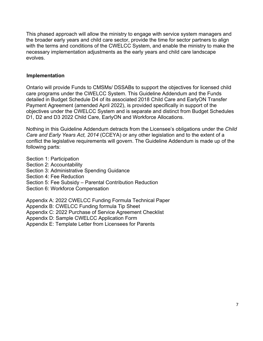This phased approach will allow the ministry to engage with service system managers and the broader early years and child care sector, provide the time for sector partners to align with the terms and conditions of the CWELCC System, and enable the ministry to make the necessary implementation adjustments as the early years and child care landscape evolves.

#### <span id="page-6-0"></span>**Implementation**

Ontario will provide Funds to CMSMs/ DSSABs to support the objectives for licensed child care programs under the CWELCC System. This Guideline Addendum and the Funds detailed in Budget Schedule D4 of its associated 2018 Child Care and EarlyON Transfer Payment Agreement (amended April 2022), is provided specifically in support of the objectives under the CWELCC System and is separate and distinct from Budget Schedules D1, D2 and D3 2022 Child Care, EarlyON and Workforce Allocations.

Nothing in this Guideline Addendum detracts from the Licensee's obligations under the *Child Care and Early Years Act, 2014* (CCEYA) or any other legislation and to the extent of a conflict the legislative requirements will govern. The Guideline Addendum is made up of the following parts:

Section 1: Participation

- Section 2: Accountability
- Section 3: Administrative Spending Guidance

Section 4: Fee Reduction

- Section 5: Fee Subsidy Parental Contribution Reduction
- Section 6: Workforce Compensation

Appendix A: 2022 CWELCC Funding Formula Technical Paper

Appendix B: CWELCC Funding formula Tip Sheet

Appendix C: 2022 Purchase of Service Agreement Checklist

Appendix D: Sample CWELCC Application Form

Appendix E: Template Letter from Licensees for Parents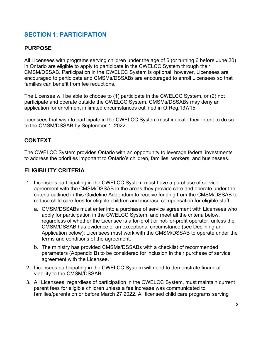# <span id="page-7-0"></span>**SECTION 1: PARTICIPATION**

### <span id="page-7-1"></span>**PURPOSE**

All Licensees with programs serving children under the age of 6 (or turning 6 before June 30) in Ontario are eligible to apply to participate in the CWELCC System through their CMSM/DSSAB. Participation in the CWELCC System is optional; however, Licensees are encouraged to participate and CMSMs/DSSABs are encouraged to enroll Licensees so that families can benefit from fee reductions.

The Licensee will be able to choose to (1) participate in the CWELCC System, or (2) not participate and operate outside the CWELCC System. CMSMs/DSSABs may deny an application for enrolment in limited circumstances outlined in O.Reg.137/15.

Licensees that wish to participate in the CWELCC System must indicate their intent to do so to the CMSM/DSSAB by September 1, 2022.

### <span id="page-7-2"></span>**CONTEXT**

The CWELCC System provides Ontario with an opportunity to leverage federal investments to address the priorities important to Ontario's children, families, workers, and businesses.

### <span id="page-7-3"></span>**ELIGIBILITY CRITERIA**

- 1. Licensees participating in the CWELCC System must have a purchase of service agreement with the CMSM/DSSAB in the areas they provide care and operate under the criteria outlined in this Guideline Addendum to receive funding from the CMSM/DSSAB to reduce child care fees for eligible children and increase compensation for eligible staff.
	- a. CMSM/DSSABs must enter into a purchase of service agreement with Licensees who apply for participation in the CWELCC System, and meet all the criteria below, regardless of whether the Licensee is a for-profit or not-for-profit operator, unless the CMSM/DSSAB has evidence of an exceptional circumstance (see Declining an Application below); Licensees must work with the CMSM/DSSAB to operate under the terms and conditions of the agreement.
	- b. The ministry has provided CMSMs/DSSABs with a checklist of recommended parameters (Appendix B) to be considered for inclusion in their purchase of service agreement with the Licensee.
- 2. Licensees participating in the CWELCC System will need to demonstrate financial viability to the CMSM/DSSAB.
- 3. All Licensees, regardless of participation in the CWELCC System, must maintain current parent fees for eligible children unless a fee increase was communicated to families/parents on or before March 27 2022. All licensed child care programs serving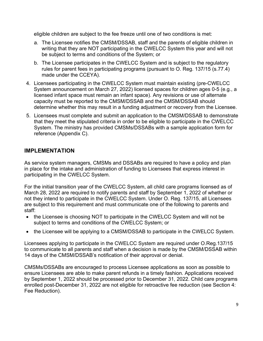eligible children are subject to the fee freeze until one of two conditions is met:

- a. The Licensee notifies the CMSM/DSSAB, staff and the parents of eligible children in writing that they are NOT participating in the CWELCC System this year and will not be subject to terms and conditions of the System; or
- b. The Licensee participates in the CWELCC System and is subject to the regulatory rules for parent fees in participating programs (pursuant to O. Reg. 137/15 (s.77.4) made under the CCEYA).
- 4. Licensees participating in the CWELCC System must maintain existing (pre-CWELCC System announcement on March 27, 2022) licensed spaces for children ages 0-5 (e.g., a licensed infant space must remain an infant space). Any revisions or use of alternate capacity must be reported to the CMSM/DSSAB and the CMSM/DSSAB should determine whether this may result in a funding adjustment or recovery from the Licensee.
- 5. Licensees must complete and submit an application to the CMSM/DSSAB to demonstrate that they meet the stipulated criteria in order to be eligible to participate in the CWELCC System. The ministry has provided CMSMs/DSSABs with a sample application form for reference (Appendix C).

### <span id="page-8-0"></span>**IMPLEMENTATION**

As service system managers, CMSMs and DSSABs are required to have a policy and plan in place for the intake and administration of funding to Licensees that express interest in participating in the CWELCC System.

For the initial transition year of the CWELCC System, all child care programs licensed as of March 28, 2022 are required to notify parents and staff by September 1, 2022 of whether or not they intend to participate in the CWELCC System. Under O. Reg. 137/15, all Licensees are subject to this requirement and must communicate one of the following to parents and staff:

- the Licensee is choosing NOT to participate in the CWELCC System and will not be subject to terms and conditions of the CWELCC System; or
- the Licensee will be applying to a CMSM/DSSAB to participate in the CWELCC System.

Licensees applying to participate in the CWELCC System are required under O.Reg.137/15 to communicate to all parents and staff when a decision is made by the CMSM/DSSAB within 14 days of the CMSM/DSSAB's notification of their approval or denial.

CMSMs/DSSABs are encouraged to process Licensee applications as soon as possible to ensure Licensees are able to make parent refunds in a timely fashion. Applications received by September 1, 2022 should be processed prior to December 31, 2022. Child care programs enrolled post-December 31, 2022 are not eligible for retroactive fee reduction (see Section 4: Fee Reduction).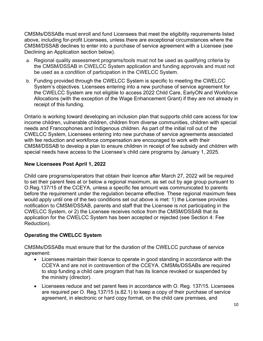CMSMs/DSSABs must enroll and fund Licensees that meet the eligibility requirements listed above, including for-profit Licensees, unless there are exceptional circumstances where the CMSM/DSSAB declines to enter into a purchase of service agreement with a Licensee (see Declining an Application section below).

- a. Regional quality assessment programs/tools must not be used as qualifying criteria by the CMSM/DSSAB in CWELCC System application and funding approvals and must not be used as a condition of participation in the CWELCC System.
- b. Funding provided through the CWELCC System is specific to meeting the CWELCC System's objectives. Licensees entering into a new purchase of service agreement for the CWELCC System are not eligible to access 2022 Child Care, EarlyON and Workforce Allocations (with the exception of the Wage Enhancement Grant) if they are not already in receipt of this funding.

Ontario is working toward developing an inclusion plan that supports child care access for low income children, vulnerable children, children from diverse communities, children with special needs and Francophones and Indigenous children. As part of the initial roll out of the CWELCC System, Licensees entering into new purchase of service agreements associated with fee reduction and workforce compensation are encouraged to work with their CMSM/DSSAB to develop a plan to ensure children in receipt of fee subsidy and children with special needs have access to the Licensee's child care programs by January 1, 2025.

### <span id="page-9-0"></span>**New Licensees Post April 1, 2022**

Child care programs/operators that obtain their licence after March 27, 2022 will be required to set their parent fees at or below a regional maximum, as set out by age group pursuant to O.Reg.137/15 of the CCEYA, unless a specific fee amount was communicated to parents before the requirement under the regulation became effective. These regional maximum fees would apply until one of the two conditions set out above is met: 1) the Licensee provides notification to CMSM/DSSAB, parents and staff that the Licensee is not participating in the CWELCC System, or 2) the Licensee receives notice from the CMSM/DSSAB that its application for the CWELCC System has been accepted or rejected (see Section 4: Fee Reduction).

#### <span id="page-9-1"></span>**Operating the CWELCC System**

CMSMs/DSSABs must ensure that for the duration of the CWELCC purchase of service agreement:

- Licensees maintain their licence to operate in good standing in accordance with the CCEYA and are not in contravention of the CCEYA. CMSMs/DSSABs are required to stop funding a child care program that has its licence revoked or suspended by the ministry (director).
- Licensees reduce and set parent fees in accordance with O. Reg. 137/15. Licensees are required per O. Reg.137/15 (s.82.1) to keep a copy of their purchase of service agreement, in electronic or hard copy format, on the child care premises, and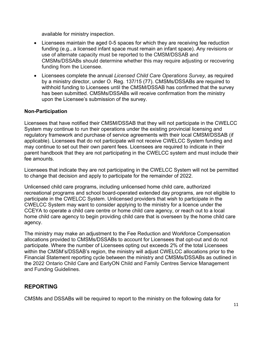available for ministry inspection.

- Licensees maintain the aged 0-5 spaces for which they are receiving fee reduction funding (e.g., a licensed infant space must remain an infant space). Any revisions or use of alternate capacity must be reported to the CMSM/DSSAB and CMSMs/DSSABs should determine whether this may require adjusting or recovering funding from the Licensee.
- Licensees complete the annual *Licensed Child Care Operations Survey,* as required by a ministry director, under O. Reg. 137/15 (77). CMSMs/DSSABs are required to withhold funding to Licensees until the CMSM/DSSAB has confirmed that the survey has been submitted. CMSMs/DSSABs will receive confirmation from the ministry upon the Licensee's submission of the survey.

#### <span id="page-10-0"></span>**Non-Participation**

Licensees that have notified their CMSM/DSSAB that they will not participate in the CWELCC System may continue to run their operations under the existing provincial licensing and regulatory framework and purchase of service agreements with their local CMSM/DSSAB (if applicable). Licensees that do not participate will not receive CWELCC System funding and may continue to set out their own parent fees. Licensees are required to indicate in their parent handbook that they are not participating in the CWELCC system and must include their fee amounts.

Licensees that indicate they are not participating in the CWELCC System will not be permitted to change that decision and apply to participate for the remainder of 2022.

Unlicensed child care programs, including unlicensed home child care, authorized recreational programs and school board-operated extended day programs, are not eligible to participate in the CWELCC System. Unlicensed providers that wish to participate in the CWELCC System may want to consider applying to the ministry for a licence under the CCEYA to operate a child care centre or home child care agency, or reach out to a local home child care agency to begin providing child care that is overseen by the home child care agency.

The ministry may make an adjustment to the Fee Reduction and Workforce Compensation allocations provided to CMSMs/DSSABs to account for Licensees that opt-out and do not participate. Where the number of Licensees opting out exceeds 2% of the total Licensees within the CMSM's/DSSAB's region, the ministry will adjust CWELCC allocations prior to the Financial Statement reporting cycle between the ministry and CMSMs/DSSABs as outlined in the 2022 Ontario Child Care and EarlyON Child and Family Centres Service Management and Funding Guidelines.

### <span id="page-10-1"></span>**REPORTING**

CMSMs and DSSABs will be required to report to the ministry on the following data for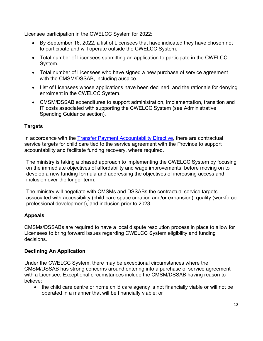Licensee participation in the CWELCC System for 2022:

- By September 16, 2022, a list of Licensees that have indicated they have chosen not to participate and will operate outside the CWELCC System.
- Total number of Licensees submitting an application to participate in the CWELCC System.
- Total number of Licensees who have signed a new purchase of service agreement with the CMSM/DSSAB, including auspice.
- List of Licensees whose applications have been declined, and the rationale for denying enrolment in the CWELCC System.
- CMSM/DSSAB expenditures to support administration, implementation, transition and IT costs associated with supporting the CWELCC System (see Administrative Spending Guidance section).

### <span id="page-11-0"></span>**Targets**

In accordance with the [Transfer Payment Accountability Directive,](https://www.ontario.ca/page/transfer-payment-accountability-directive) there are contractual service targets for child care tied to the service agreement with the Province to support accountability and facilitate funding recovery, where required.

The ministry is taking a phased approach to implementing the CWELCC System by focusing on the immediate objectives of affordability and wage improvements, before moving on to develop a new funding formula and addressing the objectives of increasing access and inclusion over the longer term.

The ministry will negotiate with CMSMs and DSSABs the contractual service targets associated with accessibility (child care space creation and/or expansion), quality (workforce professional development), and inclusion prior to 2023.

#### <span id="page-11-1"></span>**Appeals**

CMSMs/DSSABs are required to have a local dispute resolution process in place to allow for Licensees to bring forward issues regarding CWELCC System eligibility and funding decisions.

#### <span id="page-11-2"></span>**Declining An Application**

Under the CWELCC System, there may be exceptional circumstances where the CMSM/DSSAB has strong concerns around entering into a purchase of service agreement with a Licensee. Exceptional circumstances include the CMSM/DSSAB having reason to believe:

• the child care centre or home child care agency is not financially viable or will not be operated in a manner that will be financially viable; or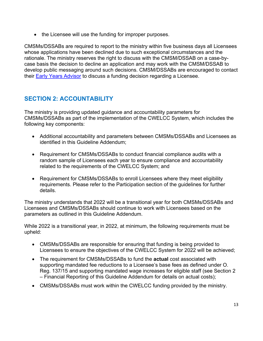• the Licensee will use the funding for improper purposes.

CMSMs/DSSABs are required to report to the ministry within five business days all Licensees whose applications have been declined due to such exceptional circumstances and the rationale. The ministry reserves the right to discuss with the CMSM/DSSAB on a case-bycase basis the decision to decline an application and may work with the CMSM/DSSAB to develop public messaging around such decisions. CMSM/DSSABs are encouraged to contact their [Early Years Advisor](https://efis.fma.csc.gov.on.ca/faab/Child%20Care/Contact%20Us/CMSM%20%20DSSAB%20Child%20Care%20Contact%20List%20(February%202022)%20-%20clean.pdf) to discuss a funding decision regarding a Licensee.

# <span id="page-12-0"></span>**SECTION 2: ACCOUNTABILITY**

The ministry is providing updated guidance and accountability parameters for CMSMs/DSSABs as part of the implementation of the CWELCC System, which includes the following key components:

- Additional accountability and parameters between CMSMs/DSSABs and Licensees as identified in this Guideline Addendum;
- Requirement for CMSMs/DSSABs to conduct financial compliance audits with a random sample of Licensees each year to ensure compliance and accountability related to the requirements of the CWELCC System; and
- Requirement for CMSMs/DSSABs to enroll Licensees where they meet eligibility requirements. Please refer to the Participation section of the guidelines for further details.

The ministry understands that 2022 will be a transitional year for both CMSMs/DSSABs and Licensees and CMSMs/DSSABs should continue to work with Licensees based on the parameters as outlined in this Guideline Addendum.

While 2022 is a transitional year, in 2022, at minimum, the following requirements must be upheld:

- CMSMs/DSSABs are responsible for ensuring that funding is being provided to Licensees to ensure the objectives of the CWELCC System for 2022 will be achieved;
- The requirement for CMSMs/DSSABs to fund the **actual** cost associated with supporting mandated fee reductions to a Licensee's base fees as defined under O. Reg. 137/15 and supporting mandated wage increases for eligible staff (see Section 2 – Financial Reporting of this Guideline Addendum for details on actual costs);
- CMSMs/DSSABs must work within the CWELCC funding provided by the ministry.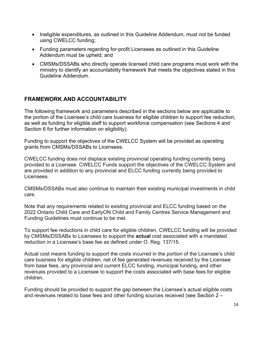- Ineligible expenditures, as outlined in this Guideline Addendum, must not be funded using CWELCC funding;
- Funding parameters regarding for-profit Licensees as outlined in this Guideline Addendum must be upheld; and
- CMSMs/DSSABs who directly operate licensed child care programs must work with the ministry to identify an accountability framework that meets the objectives stated in this Guideline Addendum.

### <span id="page-13-0"></span>**FRAMEWORK AND ACCOUNTABILITY**

The following framework and parameters described in the sections below are applicable to the portion of the Licensee's child care business for eligible children to support fee reduction, as well as funding for eligible staff to support workforce compensation (see Sections 4 and Section 6 for further information on eligibility).

Funding to support the objectives of the CWELCC System will be provided as operating grants from CMSMs/DSSABs to Licensees.

CWELCC funding does not displace existing provincial operating funding currently being provided to a Licensee. CWELCC Funds support the objectives of the CWELCC System and are provided in addition to any provincial and ELCC funding currently being provided to Licensees.

CMSMs/DSSABs must also continue to maintain their existing municipal investments in child care.

Note that any requirements related to existing provincial and ELCC funding based on the 2022 Ontario Child Care and EarlyON Child and Family Centres Service Management and Funding Guidelines must continue to be met.

To support fee reductions in child care for eligible children, CWELCC funding will be provided by CMSMs/DSSABs to Licensees to support the **actual** cost associated with a mandated reduction in a Licensee's base fee as defined under O. Reg. 137/15.

Actual cost means funding to support the costs incurred in the portion of the Licensee's child care business for eligible children, net of fee generated revenues received by the Licensee from base fees, any provincial and current ELCC funding, municipal funding, and other revenues provided to a Licensee to support the costs associated with base fees for eligible children.

Funding should be provided to support the gap between the Licensee's actual eligible costs and revenues related to base fees and other funding sources received (see Section 2 –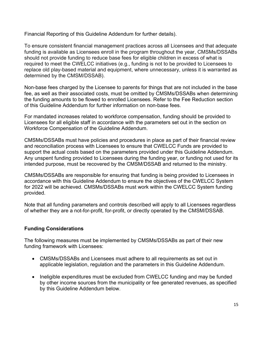Financial Reporting of this Guideline Addendum for further details).

To ensure consistent financial management practices across all Licensees and that adequate funding is available as Licensees enroll in the program throughout the year, CMSMs/DSSABs should not provide funding to reduce base fees for eligible children in excess of what is required to meet the CWELCC initiatives (e.g., funding is not to be provided to Licensees to replace old play-based material and equipment, where unnecessary, unless it is warranted as determined by the CMSM/DSSAB).

Non-base fees charged by the Licensee to parents for things that are not included in the base fee, as well as their associated costs, must be omitted by CMSMs/DSSABs when determining the funding amounts to be flowed to enrolled Licensees. Refer to the Fee Reduction section of this Guideline Addendum for further information on non-base fees.

For mandated increases related to workforce compensation, funding should be provided to Licensees for all eligible staff in accordance with the parameters set out in the section on Workforce Compensation of the Guideline Addendum.

CMSMs/DSSABs must have policies and procedures in place as part of their financial review and reconciliation process with Licensees to ensure that CWELCC Funds are provided to support the actual costs based on the parameters provided under this Guideline Addendum. Any unspent funding provided to Licensees during the funding year, or funding not used for its intended purpose, must be recovered by the CMSM/DSSAB and returned to the ministry.

CMSMs/DSSABs are responsible for ensuring that funding is being provided to Licensees in accordance with this Guideline Addendum to ensure the objectives of the CWELCC System for 2022 will be achieved. CMSMs/DSSABs must work within the CWELCC System funding provided.

Note that all funding parameters and controls described will apply to all Licensees regardless of whether they are a not-for-profit, for-profit, or directly operated by the CMSM/DSSAB.

#### <span id="page-14-0"></span>**Funding Considerations**

The following measures must be implemented by CMSMs/DSSABs as part of their new funding framework with Licensees:

- CMSMs/DSSABs and Licensees must adhere to all requirements as set out in applicable legislation, regulation and the parameters in this Guideline Addendum.
- Ineligible expenditures must be excluded from CWELCC funding and may be funded by other income sources from the municipality or fee generated revenues, as specified by this Guideline Addendum below.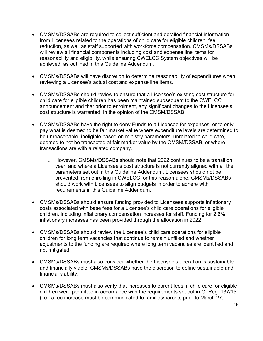- CMSMs/DSSABs are required to collect sufficient and detailed financial information from Licensees related to the operations of child care for eligible children, fee reduction, as well as staff supported with workforce compensation. CMSMs/DSSABs will review all financial components including cost and expense line items for reasonability and eligibility, while ensuring CWELCC System objectives will be achieved, as outlined in this Guideline Addendum.
- CMSMs/DSSABs will have discretion to determine reasonability of expenditures when reviewing a Licensee's actual cost and expense line items.
- CMSMs/DSSABs should review to ensure that a Licensee's existing cost structure for child care for eligible children has been maintained subsequent to the CWELCC announcement and that prior to enrolment, any significant changes to the Licensee's cost structure is warranted, in the opinion of the CMSM/DSSAB.
- CMSMs/DSSABs have the right to deny Funds to a Licensee for expenses, or to only pay what is deemed to be fair market value where expenditure levels are determined to be unreasonable, ineligible based on ministry parameters, unrelated to child care, deemed to not be transacted at fair market value by the CMSM/DSSAB, or where transactions are with a related company.
	- o However, CMSMs/DSSABs should note that 2022 continues to be a transition year, and where a Licensee's cost structure is not currently aligned with all the parameters set out in this Guideline Addendum, Licensees should not be prevented from enrolling in CWELCC for this reason alone. CMSMs/DSSABs should work with Licensees to align budgets in order to adhere with requirements in this Guideline Addendum.
- CMSMs/DSSABs should ensure funding provided to Licensees supports inflationary costs associated with base fees for a Licensee's child care operations for eligible children, including inflationary compensation increases for staff. Funding for 2.6% inflationary increases has been provided through the allocation in 2022.
- CMSMs/DSSABs should review the Licensee's child care operations for eligible children for long term vacancies that continue to remain unfilled and whether adjustments to the funding are required where long term vacancies are identified and not mitigated.
- CMSMs/DSSABs must also consider whether the Licensee's operation is sustainable and financially viable. CMSMs/DSSABs have the discretion to define sustainable and financial viability.
- CMSMs/DSSABs must also verify that increases to parent fees in child care for eligible children were permitted in accordance with the requirements set out in O. Reg. 137/15, (i.e., a fee increase must be communicated to families/parents prior to March 27,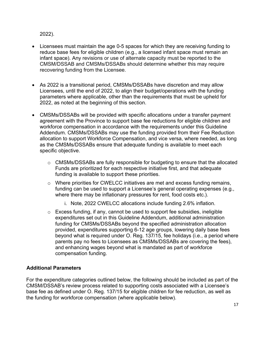#### 2022).

- Licensees must maintain the age 0-5 spaces for which they are receiving funding to reduce base fees for eligible children (e.g., a licensed infant space must remain an infant space). Any revisions or use of alternate capacity must be reported to the CMSM/DSSAB and CMSMs/DSSABs should determine whether this may require recovering funding from the Licensee.
- As 2022 is a transitional period, CMSMs/DSSABs have discretion and may allow Licensees, until the end of 2022, to align their budget/operations with the funding parameters where applicable, other than the requirements that must be upheld for 2022, as noted at the beginning of this section.
- CMSMs/DSSABs will be provided with specific allocations under a transfer payment agreement with the Province to support base fee reductions for eligible children and workforce compensation in accordance with the requirements under this Guideline Addendum. CMSMs/DSSABs may use the funding provided from their Fee Reduction allocation to support Workforce Compensation, and vice versa, where needed, as long as the CMSMs/DSSABs ensure that adequate funding is available to meet each specific objective.
	- $\circ$  CMSMs/DSSABs are fully responsible for budgeting to ensure that the allocated Funds are prioritized for each respective initiative first, and that adequate funding is available to support these priorities.
	- o Where priorities for CWELCC initiatives are met and excess funding remains, funding can be used to support a Licensee's general operating expenses (e.g., where there may be inflationary pressures for rent, food costs etc.).
		- i. Note, 2022 CWELCC allocations include funding 2.6% inflation.
	- $\circ$  Excess funding, if any, cannot be used to support fee subsidies, ineligible expenditures set out in this Guideline Addendum, additional administration funding for CMSMs/DSSABs beyond the specified administration allocation provided, expenditures supporting 6-12 age groups, lowering daily base fees beyond what is required under O. Reg. 137/15, fee holidays (i.e., a period where parents pay no fees to Licensees as CMSMs/DSSABs are covering the fees), and enhancing wages beyond what is mandated as part of workforce compensation funding.

#### <span id="page-16-0"></span>**Additional Parameters**

For the expenditure categories outlined below, the following should be included as part of the CMSM/DSSAB's review process related to supporting costs associated with a Licensee's base fee as defined under O. Reg. 137/15 for eligible children for fee reduction, as well as the funding for workforce compensation (where applicable below).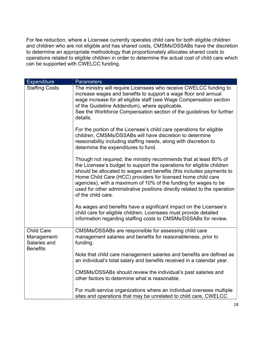For fee reduction, where a Licensee currently operates child care for both eligible children and children who are not eligible and has shared costs, CMSMs/DSSABs have the discretion to determine an appropriate methodology that proportionately allocates shared costs to operations related to eligible children in order to determine the actual cost of child care which can be supported with CWELCC funding.

| <b>Expenditure</b>                                                  | <b>Parameters</b>                                                                                                                                                                                                                                                                                                                                                                                                                                        |
|---------------------------------------------------------------------|----------------------------------------------------------------------------------------------------------------------------------------------------------------------------------------------------------------------------------------------------------------------------------------------------------------------------------------------------------------------------------------------------------------------------------------------------------|
| <b>Staffing Costs</b>                                               | The ministry will require Licensees who receive CWELCC funding to<br>increase wages and benefits to support a wage floor and annual<br>wage increase for all eligible staff (see Wage Compensation section<br>of the Guideline Addendum), where applicable.<br>See the Workforce Compensation section of the guidelines for further<br>details.                                                                                                          |
|                                                                     | For the portion of the Licensee's child care operations for eligible<br>children, CMSMs/DSSABs will have discretion to determine<br>reasonability including staffing needs, along with discretion to<br>determine the expenditures to fund.                                                                                                                                                                                                              |
|                                                                     | Though not required, the ministry recommends that at least 80% of<br>the Licensee's budget to support the operations for eligible children<br>should be allocated to wages and benefits (this includes payments to<br>Home Child Care (HCC) providers for licensed home child care<br>agencies), with a maximum of 10% of the funding for wages to be<br>used for other administrative positions directly related to the operation<br>of the child care. |
|                                                                     | As wages and benefits have a significant impact on the Licensee's<br>child care for eligible children, Licensees must provide detailed<br>information regarding staffing costs to CMSMs/DSSABs for review.                                                                                                                                                                                                                                               |
| <b>Child Care</b><br>Management-<br>Salaries and<br><b>Benefits</b> | CMSMs/DSSABs are responsible for assessing child care<br>management salaries and benefits for reasonableness, prior to<br>funding.                                                                                                                                                                                                                                                                                                                       |
|                                                                     | Note that child care management salaries and benefits are defined as<br>an individual's total salary and benefits received in a calendar year.                                                                                                                                                                                                                                                                                                           |
|                                                                     | CMSMs/DSSABs should review the individual's past salaries and<br>other factors to determine what is reasonable.                                                                                                                                                                                                                                                                                                                                          |
|                                                                     | For multi-service organizations where an individual oversees multiple<br>sites and operations that may be unrelated to child care, CWELCC                                                                                                                                                                                                                                                                                                                |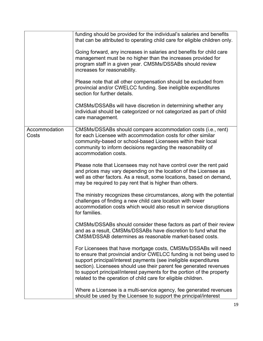|                        | funding should be provided for the individual's salaries and benefits<br>that can be attributed to operating child care for eligible children only.                                                                                                                                                                                                                                                                         |
|------------------------|-----------------------------------------------------------------------------------------------------------------------------------------------------------------------------------------------------------------------------------------------------------------------------------------------------------------------------------------------------------------------------------------------------------------------------|
|                        | Going forward, any increases in salaries and benefits for child care<br>management must be no higher than the increases provided for<br>program staff in a given year. CMSMs/DSSABs should review<br>increases for reasonability.                                                                                                                                                                                           |
|                        | Please note that all other compensation should be excluded from<br>provincial and/or CWELCC funding. See ineligible expenditures<br>section for further details.                                                                                                                                                                                                                                                            |
|                        | CMSMs/DSSABs will have discretion in determining whether any<br>individual should be categorized or not categorized as part of child<br>care management.                                                                                                                                                                                                                                                                    |
| Accommodation<br>Costs | CMSMs/DSSABs should compare accommodation costs (i.e., rent)<br>for each Licensee with accommodation costs for other similar<br>community-based or school-based Licensees within their local<br>community to inform decisions regarding the reasonability of<br>accommodation costs.                                                                                                                                        |
|                        | Please note that Licensees may not have control over the rent paid<br>and prices may vary depending on the location of the Licensee as<br>well as other factors. As a result, some locations, based on demand,<br>may be required to pay rent that is higher than others.                                                                                                                                                   |
|                        | The ministry recognizes these circumstances, along with the potential<br>challenges of finding a new child care location with lower<br>accommodation costs which would also result in service disruptions<br>for families.                                                                                                                                                                                                  |
|                        | CMSMs/DSSABs should consider these factors as part of their review<br>and as a result, CMSMs/DSSABs have discretion to fund what the<br>CMSM/DSSAB determines as reasonable market-based costs.                                                                                                                                                                                                                             |
|                        | For Licensees that have mortgage costs, CMSMs/DSSABs will need<br>to ensure that provincial and/or CWELCC funding is not being used to<br>support principal/interest payments (see ineligible expenditures<br>section). Licensees should use their parent fee generated revenues<br>to support principal/interest payments for the portion of the property<br>related to the operation of child care for eligible children. |
|                        | Where a Licensee is a multi-service agency, fee generated revenues<br>should be used by the Licensee to support the principal/interest                                                                                                                                                                                                                                                                                      |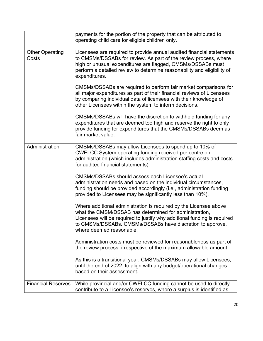|                                 | payments for the portion of the property that can be attributed to<br>operating child care for eligible children only.                                                                                                                                                                               |
|---------------------------------|------------------------------------------------------------------------------------------------------------------------------------------------------------------------------------------------------------------------------------------------------------------------------------------------------|
| <b>Other Operating</b><br>Costs | Licensees are required to provide annual audited financial statements<br>to CMSMs/DSSABs for review. As part of the review process, where<br>high or unusual expenditures are flagged, CMSMs/DSSABs must<br>perform a detailed review to determine reasonability and eligibility of<br>expenditures. |
|                                 | CMSMs/DSSABs are required to perform fair market comparisons for<br>all major expenditures as part of their financial reviews of Licensees<br>by comparing individual data of licensees with their knowledge of<br>other Licensees within the system to inform decisions.                            |
|                                 | CMSMs/DSSABs will have the discretion to withhold funding for any<br>expenditures that are deemed too high and reserve the right to only<br>provide funding for expenditures that the CMSMs/DSSABs deem as<br>fair market value.                                                                     |
| Administration                  | CMSMs/DSSABs may allow Licensees to spend up to 10% of<br>CWELCC System operating funding received per centre on<br>administration (which includes administration staffing costs and costs<br>for audited financial statements).                                                                     |
|                                 | CMSMs/DSSABs should assess each Licensee's actual<br>administration needs and based on the individual circumstances,<br>funding should be provided accordingly (i.e., administration funding<br>provided to Licensees may be significantly less than 10%).                                           |
|                                 | Where additional administration is required by the Licensee above<br>what the CMSM/DSSAB has determined for administration,<br>Licensees will be required to justify why additional funding is required<br>to CMSMs/DSSABs. CMSMs/DSSABs have discretion to approve,<br>where deemed reasonable.     |
|                                 | Administration costs must be reviewed for reasonableness as part of<br>the review process, irrespective of the maximum allowable amount.                                                                                                                                                             |
|                                 | As this is a transitional year, CMSMs/DSSABs may allow Licensees,<br>until the end of 2022, to align with any budget/operational changes<br>based on their assessment.                                                                                                                               |
| <b>Financial Reserves</b>       | While provincial and/or CWELCC funding cannot be used to directly<br>contribute to a Licensee's reserves, where a surplus is identified as                                                                                                                                                           |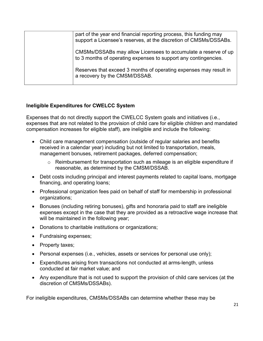| part of the year end financial reporting process, this funding may<br>support a Licensee's reserves, at the discretion of CMSMs/DSSABs. |
|-----------------------------------------------------------------------------------------------------------------------------------------|
| CMSMs/DSSABs may allow Licensees to accumulate a reserve of up<br>to 3 months of operating expenses to support any contingencies.       |
| Reserves that exceed 3 months of operating expenses may result in<br>a recovery by the CMSM/DSSAB.                                      |

#### **Ineligible Expenditures for CWELCC System**

Expenses that do not directly support the CWELCC System goals and initiatives (i.e., expenses that are not related to the provision of child care for eligible children and mandated compensation increases for eligible staff), are ineligible and include the following:

- Child care management compensation (outside of regular salaries and benefits received in a calendar year) including but not limited to transportation, meals, management bonuses, retirement packages, deferred compensation;
	- o Reimbursement for transportation such as mileage is an eligible expenditure if reasonable, as determined by the CMSM/DSSAB.
- Debt costs including principal and interest payments related to capital loans, mortgage financing, and operating loans;
- Professional organization fees paid on behalf of staff for membership in professional organizations;
- Bonuses (including retiring bonuses), gifts and honoraria paid to staff are ineligible expenses except in the case that they are provided as a retroactive wage increase that will be maintained in the following year;
- Donations to charitable institutions or organizations;
- Fundraising expenses;
- Property taxes;
- Personal expenses (i.e., vehicles, assets or services for personal use only);
- Expenditures arising from transactions not conducted at arms-length, unless conducted at fair market value; and
- Any expenditure that is not used to support the provision of child care services (at the discretion of CMSMs/DSSABs).

For ineligible expenditures, CMSMs/DSSABs can determine whether these may be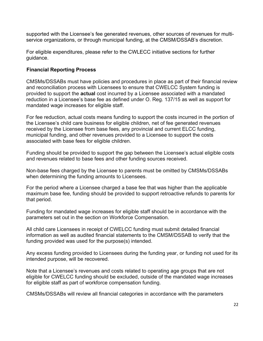supported with the Licensee's fee generated revenues, other sources of revenues for multiservice organizations, or through municipal funding, at the CMSM/DSSAB's discretion.

For eligible expenditures, please refer to the CWLECC initiative sections for further guidance.

#### <span id="page-21-0"></span>**Financial Reporting Process**

CMSMs/DSSABs must have policies and procedures in place as part of their financial review and reconciliation process with Licensees to ensure that CWELCC System funding is provided to support the **actual** cost incurred by a Licensee associated with a mandated reduction in a Licensee's base fee as defined under O. Reg. 137/15 as well as support for mandated wage increases for eligible staff.

For fee reduction, actual costs means funding to support the costs incurred in the portion of the Licensee's child care business for eligible children, net of fee generated revenues received by the Licensee from base fees, any provincial and current ELCC funding, municipal funding, and other revenues provided to a Licensee to support the costs associated with base fees for eligible children.

Funding should be provided to support the gap between the Licensee's actual eligible costs and revenues related to base fees and other funding sources received.

Non-base fees charged by the Licensee to parents must be omitted by CMSMs/DSSABs when determining the funding amounts to Licensees.

For the period where a Licensee charged a base fee that was higher than the applicable maximum base fee, funding should be provided to support retroactive refunds to parents for that period.

Funding for mandated wage increases for eligible staff should be in accordance with the parameters set out in the section on Workforce Compensation.

All child care Licensees in receipt of CWELCC funding must submit detailed financial information as well as audited financial statements to the CMSM/DSSAB to verify that the funding provided was used for the purpose(s) intended.

Any excess funding provided to Licensees during the funding year, or funding not used for its intended purpose, will be recovered.

Note that a Licensee's revenues and costs related to operating age groups that are not eligible for CWELCC funding should be excluded, outside of the mandated wage increases for eligible staff as part of workforce compensation funding.

CMSMs/DSSABs will review all financial categories in accordance with the parameters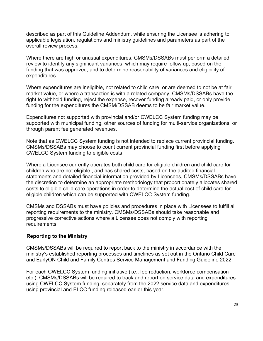described as part of this Guideline Addendum, while ensuring the Licensee is adhering to applicable legislation, regulations and ministry guidelines and parameters as part of the overall review process.

Where there are high or unusual expenditures, CMSMs/DSSABs must perform a detailed review to identify any significant variances, which may require follow up, based on the funding that was approved, and to determine reasonability of variances and eligibility of expenditures.

Where expenditures are ineligible, not related to child care, or are deemed to not be at fair market value, or where a transaction is with a related company, CMSMs/DSSABs have the right to withhold funding, reject the expense, recover funding already paid, or only provide funding for the expenditures the CMSM/DSSAB deems to be fair market value.

Expenditures not supported with provincial and/or CWELCC System funding may be supported with municipal funding, other sources of funding for multi-service organizations, or through parent fee generated revenues.

Note that as CWELCC System funding is not intended to replace current provincial funding. CMSMs/DSSABs may choose to count current provincial funding first before applying CWELCC System funding to eligible costs.

Where a Licensee currently operates both child care for eligible children and child care for children who are not eligible , and has shared costs, based on the audited financial statements and detailed financial information provided by Licensees, CMSMs/DSSABs have the discretion to determine an appropriate methodology that proportionately allocates shared costs to eligible child care operations in order to determine the actual cost of child care for eligible children which can be supported with CWELCC System funding.

CMSMs and DSSABs must have policies and procedures in place with Licensees to fulfill all reporting requirements to the ministry. CMSMs/DSSABs should take reasonable and progressive corrective actions where a Licensee does not comply with reporting requirements.

#### <span id="page-22-0"></span>**Reporting to the Ministry**

CMSMs/DSSABs will be required to report back to the ministry in accordance with the ministry's established reporting processes and timelines as set out in the Ontario Child Care and EarlyON Child and Family Centres Service Management and Funding Guideline 2022.

For each CWELCC System funding initiative (i.e., fee reduction, workforce compensation etc.), CMSMs/DSSABs will be required to track and report on service data and expenditures using CWELCC System funding, separately from the 2022 service data and expenditures using provincial and ELCC funding released earlier this year.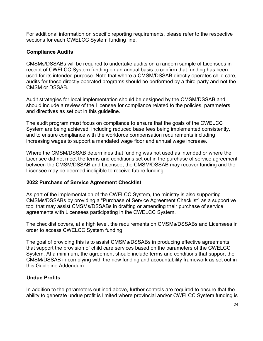For additional information on specific reporting requirements, please refer to the respective sections for each CWELCC System funding line.

#### <span id="page-23-0"></span>**Compliance Audits**

CMSMs/DSSABs will be required to undertake audits on a random sample of Licensees in receipt of CWELCC System funding on an annual basis to confirm that funding has been used for its intended purpose. Note that where a CMSM/DSSAB directly operates child care, audits for those directly operated programs should be performed by a third-party and not the CMSM or DSSAB.

Audit strategies for local implementation should be designed by the CMSM/DSSAB and should include a review of the Licensee for compliance related to the policies, parameters and directives as set out in this guideline.

The audit program must focus on compliance to ensure that the goals of the CWELCC System are being achieved, including reduced base fees being implemented consistently, and to ensure compliance with the workforce compensation requirements including increasing wages to support a mandated wage floor and annual wage increase.

Where the CMSM/DSSAB determines that funding was not used as intended or where the Licensee did not meet the terms and conditions set out in the purchase of service agreement between the CMSM/DSSAB and Licensee, the CMSM/DSSAB may recover funding and the Licensee may be deemed ineligible to receive future funding.

#### <span id="page-23-1"></span>**2022 Purchase of Service Agreement Checklist**

As part of the implementation of the CWELCC System, the ministry is also supporting CMSMs/DSSABs by providing a "Purchase of Service Agreement Checklist" as a supportive tool that may assist CMSMs/DSSABs in drafting or amending their purchase of service agreements with Licensees participating in the CWELCC System.

The checklist covers, at a high level, the requirements on CMSMs/DSSABs and Licensees in order to access CWELCC System funding.

The goal of providing this is to assist CMSMs/DSSABs in producing effective agreements that support the provision of child care services based on the parameters of the CWELCC System. At a minimum, the agreement should include terms and conditions that support the CMSM/DSSAB in complying with the new funding and accountability framework as set out in this Guideline Addendum.

#### <span id="page-23-2"></span>**Undue Profits**

In addition to the parameters outlined above, further controls are required to ensure that the ability to generate undue profit is limited where provincial and/or CWELCC System funding is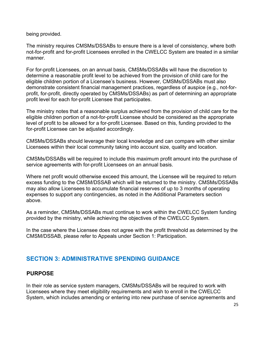being provided.

The ministry requires CMSMs/DSSABs to ensure there is a level of consistency, where both not-for-profit and for-profit Licensees enrolled in the CWELCC System are treated in a similar manner.

For for-profit Licensees, on an annual basis, CMSMs/DSSABs will have the discretion to determine a reasonable profit level to be achieved from the provision of child care for the eligible children portion of a Licensee's business. However, CMSMs/DSSABs must also demonstrate consistent financial management practices, regardless of auspice (e.g., not-forprofit, for-profit, directly operated by CMSMs/DSSABs) as part of determining an appropriate profit level for each for-profit Licensee that participates.

The ministry notes that a reasonable surplus achieved from the provision of child care for the eligible children portion of a not-for-profit Licensee should be considered as the appropriate level of profit to be allowed for a for-profit Licensee. Based on this, funding provided to the for-profit Licensee can be adjusted accordingly.

CMSMs/DSSABs should leverage their local knowledge and can compare with other similar Licensees within their local community taking into account size, quality and location.

CMSMs/DSSABs will be required to include this maximum profit amount into the purchase of service agreements with for-profit Licensees on an annual basis.

Where net profit would otherwise exceed this amount, the Licensee will be required to return excess funding to the CMSM/DSSAB which will be returned to the ministry. CMSMs/DSSABs may also allow Licensees to accumulate financial reserves of up to 3 months of operating expenses to support any contingencies, as noted in the Additional Parameters section above.

As a reminder, CMSMs/DSSABs must continue to work within the CWELCC System funding provided by the ministry, while achieving the objectives of the CWELCC System.

In the case where the Licensee does not agree with the profit threshold as determined by the CMSM/DSSAB, please refer to Appeals under Section 1: Participation.

# <span id="page-24-0"></span>**SECTION 3: ADMINISTRATIVE SPENDING GUIDANCE**

### <span id="page-24-1"></span>**PURPOSE**

In their role as service system managers, CMSMs/DSSABs will be required to work with Licensees where they meet eligibility requirements and wish to enroll in the CWELCC System, which includes amending or entering into new purchase of service agreements and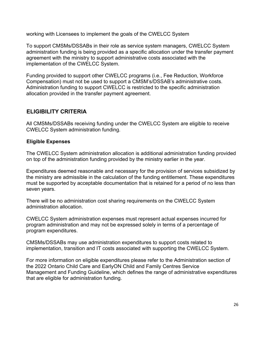working with Licensees to implement the goals of the CWELCC System

To support CMSMs/DSSABs in their role as service system managers, CWELCC System administration funding is being provided as a specific allocation under the transfer payment agreement with the ministry to support administrative costs associated with the implementation of the CWELCC System.

Funding provided to support other CWELCC programs (i.e., Fee Reduction, Workforce Compensation) must not be used to support a CMSM's/DSSAB's administrative costs. Administration funding to support CWELCC is restricted to the specific administration allocation provided in the transfer payment agreement.

#### <span id="page-25-0"></span>**ELIGIBILITY CRITERIA**

All CMSMs/DSSABs receiving funding under the CWELCC System are eligible to receive CWELCC System administration funding.

#### <span id="page-25-1"></span>**Eligible Expenses**

The CWELCC System administration allocation is additional administration funding provided on top of the administration funding provided by the ministry earlier in the year.

Expenditures deemed reasonable and necessary for the provision of services subsidized by the ministry are admissible in the calculation of the funding entitlement. These expenditures must be supported by acceptable documentation that is retained for a period of no less than seven years.

There will be no administration cost sharing requirements on the CWELCC System administration allocation.

CWELCC System administration expenses must represent actual expenses incurred for program administration and may not be expressed solely in terms of a percentage of program expenditures.

CMSMs/DSSABs may use administration expenditures to support costs related to implementation, transition and IT costs associated with supporting the CWELCC System.

For more information on eligible expenditures please refer to the Administration section of the 2022 Ontario Child Care and EarlyON Child and Family Centres Service Management and Funding Guideline, which defines the range of administrative expenditures that are eligible for administration funding.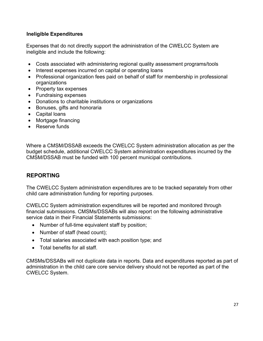#### <span id="page-26-0"></span>**Ineligible Expenditures**

Expenses that do not directly support the administration of the CWELCC System are ineligible and include the following:

- Costs associated with administering regional quality assessment programs/tools
- Interest expenses incurred on capital or operating loans
- Professional organization fees paid on behalf of staff for membership in professional organizations
- Property tax expenses
- Fundraising expenses
- Donations to charitable institutions or organizations
- Bonuses, gifts and honoraria
- Capital loans
- Mortgage financing
- Reserve funds

Where a CMSM/DSSAB exceeds the CWELCC System administration allocation as per the budget schedule, additional CWELCC System administration expenditures incurred by the CMSM/DSSAB must be funded with 100 percent municipal contributions.

### <span id="page-26-1"></span>**REPORTING**

The CWELCC System administration expenditures are to be tracked separately from other child care administration funding for reporting purposes.

CWELCC System administration expenditures will be reported and monitored through financial submissions. CMSMs/DSSABs will also report on the following administrative service data in their Financial Statements submissions:

- Number of full-time equivalent staff by position;
- Number of staff (head count);
- Total salaries associated with each position type; and
- Total benefits for all staff.

CMSMs/DSSABs will not duplicate data in reports. Data and expenditures reported as part of administration in the child care core service delivery should not be reported as part of the CWELCC System.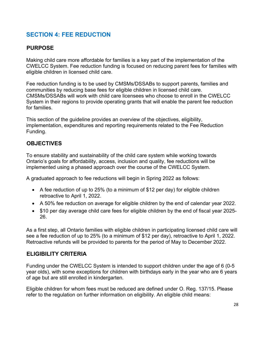# <span id="page-27-0"></span>**SECTION 4: FEE REDUCTION**

### <span id="page-27-1"></span>**PURPOSE**

Making child care more affordable for families is a key part of the implementation of the CWELCC System. Fee reduction funding is focused on reducing parent fees for families with eligible children in licensed child care.

Fee reduction funding is to be used by CMSMs/DSSABs to support parents, families and communities by reducing base fees for eligible children in licensed child care. CMSMs/DSSABs will work with child care licensees who choose to enroll in the CWELCC System in their regions to provide operating grants that will enable the parent fee reduction for families.

This section of the guideline provides an overview of the objectives, eligibility, implementation, expenditures and reporting requirements related to the Fee Reduction Funding.

### <span id="page-27-2"></span>**OBJECTIVES**

To ensure stability and sustainability of the child care system while working towards Ontario's goals for affordability, access, inclusion and quality, fee reductions will be implemented using a phased approach over the course of the CWELCC System.

A graduated approach to fee reductions will begin in Spring 2022 as follows:

- A fee reduction of up to 25% (to a minimum of \$12 per day) for eligible children retroactive to April 1, 2022.
- A 50% fee reduction on average for eligible children by the end of calendar year 2022.
- \$10 per day average child care fees for eligible children by the end of fiscal year 2025-26.

As a first step, all Ontario families with eligible children in participating licensed child care will see a fee reduction of up to 25% (to a minimum of \$12 per day), retroactive to April 1, 2022. Retroactive refunds will be provided to parents for the period of May to December 2022.

### <span id="page-27-3"></span>**ELIGIBILITY CRITERIA**

Funding under the CWELCC System is intended to support children under the age of 6 (0-5 year olds), with some exceptions for children with birthdays early in the year who are 6 years of age but are still enrolled in kindergarten.

Eligible children for whom fees must be reduced are defined under O. Reg. 137/15. Please refer to the regulation on further information on eligibility. An eligible child means: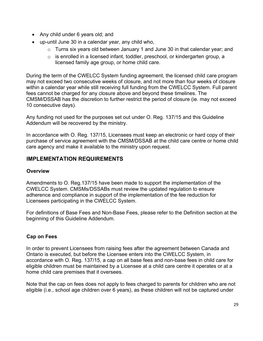- Any child under 6 years old; and
- up-until June 30 in a calendar year, any child who,
	- o Turns six years old between January 1 and June 30 in that calendar year; and
	- o is enrolled in a licensed infant, toddler, preschool, or kindergarten group, a licensed family age group, or home child care.

During the term of the CWELCC System funding agreement, the licensed child care program may not exceed two consecutive weeks of closure, and not more than four weeks of closure within a calendar year while still receiving full funding from the CWELCC System. Full parent fees cannot be charged for any closure above and beyond these timelines. The CMSM/DSSAB has the discretion to further restrict the period of closure (ie. may not exceed 10 consecutive days).

Any funding not used for the purposes set out under O. Reg. 137/15 and this Guideline Addendum will be recovered by the ministry.

In accordance with O. Reg. 137/15, Licensees must keep an electronic or hard copy of their purchase of service agreement with the CMSM/DSSAB at the child care centre or home child care agency and make it available to the ministry upon request.

### <span id="page-28-0"></span>**IMPLEMENTATION REQUIREMENTS**

#### <span id="page-28-1"></span>**Overview**

Amendments to O. Reg.137/15 have been made to support the implementation of the CWELCC System. CMSMs/DSSABs must review the updated regulation to ensure adherence and compliance in support of the implementation of the fee reduction for Licensees participating in the CWELCC System.

For definitions of Base Fees and Non-Base Fees, please refer to the Definition section at the beginning of this Guideline Addendum.

#### <span id="page-28-2"></span>**Cap on Fees**

In order to prevent Licensees from raising fees after the agreement between Canada and Ontario is executed, but before the Licensee enters into the CWELCC System, in accordance with O. Reg. 137/15, a cap on all base fees and non-base fees in child care for eligible children must be maintained by a Licensee at a child care centre it operates or at a home child care premises that it oversees.

Note that the cap on fees does not apply to fees charged to parents for children who are not eligible (i.e., school age children over 6 years), as these children will not be captured under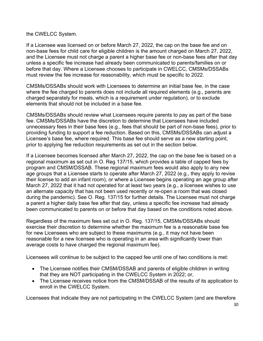the CWELCC System.

If a Licensee was licensed on or before March 27, 2022, the cap on the base fee and on non-base fees for child care for eligible children is the amount charged on March 27, 2022, and the Licensee must not charge a parent a higher base fee or non-base fees after that day unless a specific fee increase had already been communicated to parents/families on or before that day. Where a Licensee chooses to participate in CWELCC, CMSMs/DSSABs must review the fee increase for reasonability, which must be specific to 2022.

CMSMs/DSSABs should work with Licensees to determine an initial base fee, in the case where the fee charged to parents does not include all required elements (e.g., parents are charged separately for meals, which is a requirement under regulation), or to exclude elements that should not be included in a base fee.

CMSMs/DSSABs should review what Licensees require parents to pay as part of the base fee. CMSMs/DSSABs have the discretion to determine that Licensees have included unnecessary fees in their base fees (e.g., fees that should be part of non-base fees), prior to providing funding to support a fee reduction. Based on this, CMSMs/DSSABs can adjust a Licensee's base fee, where required. This base fee should serve as a new starting point, prior to applying fee reduction requirements as set out in the section below.

If a Licensee becomes licensed after March 27, 2022, the cap on the base fee is based on a regional maximum as set out in O. Reg 137/15, which provides a table of capped fees by program and CMSM/DSSAB. These regional maximum fees would also apply to any new age groups that a Licensee starts to operate after March 27, 2022 (e.g., they apply to revise their license to add an infant room), or where a Licensee begins operating an age group after March 27, 2022 that it had not operated for at least two years (e.g., a licensee wishes to use an alternate capacity that has not been used recently or re-open a room that was closed during the pandemic). See O. Reg. 137/15 for further details. The Licensee must not charge a parent a higher daily base fee after that day, unless a specific fee increase had already been communicated to parents on or before that day based on the conditions noted above.

Regardless of the maximum fees set out in O. Reg. 137/15, CMSMs/DSSABs should exercise their discretion to determine whether the maximum fee is a reasonable base fee for new Licensees who are subject to these maximums (e.g., it may not have been reasonable for a new licensee who is operating in an area with significantly lower than average costs to have charged the regional maximum fee).

Licensees will continue to be subject to the capped fee until one of two conditions is met:

- The Licensee notifies their CMSM/DSSAB and parents of eligible children in writing that they are NOT participating in the CWELCC System in 2022; or,
- The Licensee receives notice from the CMSM/DSSAB of the results of its application to enroll in the CWELCC System.

Licensees that indicate they are not participating in the CWELCC System (and are therefore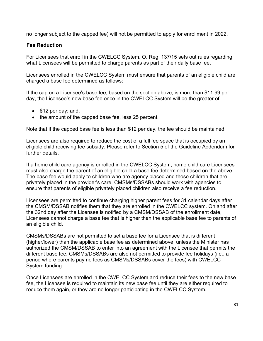no longer subject to the capped fee) will not be permitted to apply for enrollment in 2022.

#### <span id="page-30-0"></span>**Fee Reduction**

For Licensees that enroll in the CWELCC System, O. Reg. 137/15 sets out rules regarding what Licensees will be permitted to charge parents as part of their daily base fee.

Licensees enrolled in the CWELCC System must ensure that parents of an eligible child are charged a base fee determined as follows:

If the cap on a Licensee's base fee, based on the section above, is more than \$11.99 per day, the Licensee's new base fee once in the CWELCC System will be the greater of:

- \$12 per day; and,
- the amount of the capped base fee, less 25 percent.

Note that if the capped base fee is less than \$12 per day, the fee should be maintained.

Licensees are also required to reduce the cost of a full fee space that is occupied by an eligible child receiving fee subsidy. Please refer to Section 5 of the Guideline Addendum for further details.

If a home child care agency is enrolled in the CWELCC System, home child care Licensees must also charge the parent of an eligible child a base fee determined based on the above. The base fee would apply to children who are agency placed and those children that are privately placed in the provider's care. CMSMs/DSSABs should work with agencies to ensure that parents of eligible privately placed children also receive a fee reduction.

Licensees are permitted to continue charging higher parent fees for 31 calendar days after the CMSM/DSSAB notifies them that they are enrolled in the CWELCC system. On and after the 32nd day after the Licensee is notified by a CMSM/DSSAB of the enrollment date, Licensees cannot charge a base fee that is higher than the applicable base fee to parents of an eligible child.

CMSMs/DSSABs are not permitted to set a base fee for a Licensee that is different (higher/lower) than the applicable base fee as determined above, unless the Minister has authorized the CMSM/DSSAB to enter into an agreement with the Licensee that permits the different base fee. CMSMs/DSSABs are also not permitted to provide fee holidays (i.e., a period where parents pay no fees as CMSMs/DSSABs cover the fees) with CWELCC System funding.

Once Licensees are enrolled in the CWELCC System and reduce their fees to the new base fee, the Licensee is required to maintain its new base fee until they are either required to reduce them again, or they are no longer participating in the CWELCC System.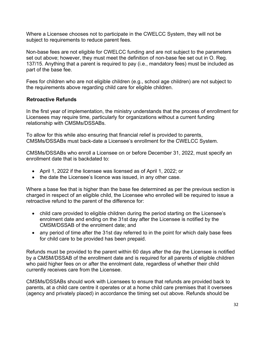Where a Licensee chooses not to participate in the CWELCC System, they will not be subject to requirements to reduce parent fees.

Non-base fees are not eligible for CWELCC funding and are not subject to the parameters set out above; however, they must meet the definition of non-base fee set out in O. Reg. 137/15. Anything that a parent is required to pay (i.e., mandatory fees) must be included as part of the base fee.

Fees for children who are not eligible children (e.g., school age children) are not subject to the requirements above regarding child care for eligible children.

#### <span id="page-31-0"></span>**Retroactive Refunds**

In the first year of implementation, the ministry understands that the process of enrollment for Licensees may require time, particularly for organizations without a current funding relationship with CMSMs/DSSABs.

To allow for this while also ensuring that financial relief is provided to parents, CMSMs/DSSABs must back-date a Licensee's enrollment for the CWELCC System.

CMSMs/DSSABs who enroll a Licensee on or before December 31, 2022, must specify an enrollment date that is backdated to:

- April 1, 2022 if the licensee was licensed as of April 1, 2022; or
- the date the Licensee's licence was issued, in any other case.

Where a base fee that is higher than the base fee determined as per the previous section is charged in respect of an eligible child, the Licensee who enrolled will be required to issue a retroactive refund to the parent of the difference for:

- child care provided to eligible children during the period starting on the Licensee's enrolment date and ending on the 31st day after the Licensee is notified by the CMSM/DSSAB of the enrolment date; and
- any period of time after the 31st day referred to in the point for which daily base fees for child care to be provided has been prepaid.

Refunds must be provided to the parent within 60 days after the day the Licensee is notified by a CMSM/DSSAB of the enrollment date and is required for all parents of eligible children who paid higher fees on or after the enrolment date, regardless of whether their child currently receives care from the Licensee.

CMSMs/DSSABs should work with Licensees to ensure that refunds are provided back to parents, at a child care centre it operates or at a home child care premises that it oversees (agency and privately placed) in accordance the timing set out above. Refunds should be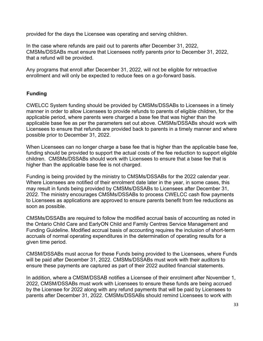provided for the days the Licensee was operating and serving children.

In the case where refunds are paid out to parents after December 31, 2022, CMSMs/DSSABs must ensure that Licensees notify parents prior to December 31, 2022, that a refund will be provided.

Any programs that enroll after December 31, 2022, will not be eligible for retroactive enrollment and will only be expected to reduce fees on a go-forward basis.

#### <span id="page-32-0"></span>**Funding**

CWELCC System funding should be provided by CMSMs/DSSABs to Licensees in a timely manner in order to allow Licensees to provide refunds to parents of eligible children, for the applicable period, where parents were charged a base fee that was higher than the applicable base fee as per the parameters set out above. CMSMs/DSSABs should work with Licensees to ensure that refunds are provided back to parents in a timely manner and where possible prior to December 31, 2022.

When Licensees can no longer charge a base fee that is higher than the applicable base fee, funding should be provided to support the actual costs of the fee reduction to support eligible children. CMSMs/DSSABs should work with Licensees to ensure that a base fee that is higher than the applicable base fee is not charged.

Funding is being provided by the ministry to CMSMs/DSSABs for the 2022 calendar year. Where Licensees are notified of their enrolment date later in the year, in some cases, this may result in funds being provided by CMSMs/DSSABs to Licensees after December 31, 2022. The ministry encourages CMSMs/DSSABs to process CWELCC cash flow payments to Licensees as applications are approved to ensure parents benefit from fee reductions as soon as possible.

CMSMs/DSSABs are required to follow the modified accrual basis of accounting as noted in the Ontario Child Care and EarlyON Child and Family Centres Service Management and Funding Guideline. Modified accrual basis of accounting requires the inclusion of short-term accruals of normal operating expenditures in the determination of operating results for a given time period.

CMSM/DSSABs must accrue for these Funds being provided to the Licensees, where Funds will be paid after December 31, 2022. CMSMs/DSSABs must work with their auditors to ensure these payments are captured as part of their 2022 audited financial statements.

In addition, where a CMSM/DSSAB notifies a Licensee of their enrolment after November 1, 2022, CMSM/DSSABs must work with Licensees to ensure these funds are being accrued by the Licensee for 2022 along with any refund payments that will be paid by Licensees to parents after December 31, 2022. CMSMs/DSSABs should remind Licensees to work with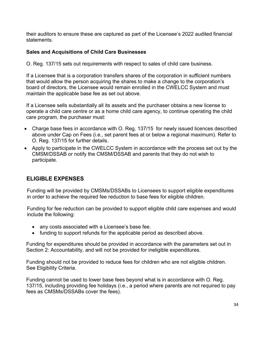their auditors to ensure these are captured as part of the Licensee's 2022 audited financial statements.

### <span id="page-33-0"></span>**Sales and Acquisitions of Child Care Businesses**

O. Reg. 137/15 sets out requirements with respect to sales of child care business.

If a Licensee that is a corporation transfers shares of the corporation in sufficient numbers that would allow the person acquiring the shares to make a change to the corporation's board of directors, the Licensee would remain enrolled in the CWELCC System and must maintain the applicable base fee as set out above.

If a Licensee sells substantially all its assets and the purchaser obtains a new license to operate a child care centre or as a home child care agency, to continue operating the child care program, the purchaser must:

- Charge base fees in accordance with O. Reg. 137/15 for newly issued licences described above under Cap on Fees (i.e., set parent fees at or below a regional maximum). Refer to O. Reg. 137/15 for further details.
- Apply to participate in the CWELCC System in accordance with the process set out by the CMSM/DSSAB or notify the CMSM/DSSAB and parents that they do not wish to participate.

### <span id="page-33-1"></span>**ELIGIBLE EXPENSES**

Funding will be provided by CMSMs/DSSABs to Licensees to support eligible expenditures in order to achieve the required fee reduction to base fees for eligible children.

Funding for fee reduction can be provided to support eligible child care expenses and would include the following:

- any costs associated with a Licensee's base fee.
- funding to support refunds for the applicable period as described above.

Funding for expenditures should be provided in accordance with the parameters set out in Section 2: Accountability, and will not be provided for ineligible expenditures.

Funding should not be provided to reduce fees for children who are not eligible children. See Eligibility Criteria.

Funding cannot be used to lower base fees beyond what is in accordance with O. Reg. 137/15, including providing fee holidays (i.e., a period where parents are not required to pay fees as CMSMs/DSSABs cover the fees).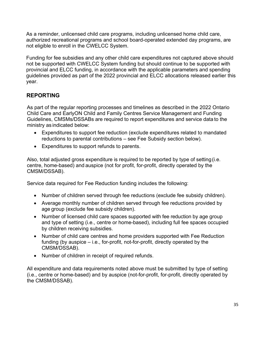As a reminder, unlicensed child care programs, including unlicensed home child care, authorized recreational programs and school board-operated extended day programs, are not eligible to enroll in the CWELCC System.

Funding for fee subsidies and any other child care expenditures not captured above should not be supported with CWELCC System funding but should continue to be supported with provincial and ELCC funding, in accordance with the applicable parameters and spending guidelines provided as part of the 2022 provincial and ELCC allocations released earlier this year.

### <span id="page-34-0"></span>**REPORTING**

As part of the regular reporting processes and timelines as described in the 2022 Ontario Child Care and EarlyON Child and Family Centres Service Management and Funding Guidelines, CMSMs/DSSABs are required to report expenditures and service data to the ministry as indicated below:

- Expenditures to support fee reduction (exclude expenditures related to mandated reductions to parental contributions – see Fee Subsidy section below).
- Expenditures to support refunds to parents.

Also, total adjusted gross expenditure is required to be reported by type of setting(i.e. centre, home-based) and auspice (not for profit, for-profit, directly operated by the CMSM/DSSAB).

Service data required for Fee Reduction funding includes the following:

- Number of children served through fee reductions (exclude fee subsidy children).
- Average monthly number of children served through fee reductions provided by age group (exclude fee subsidy children).
- Number of licensed child care spaces supported with fee reduction by age group and type of setting (i.e., centre or home-based), including full fee spaces occupied by children receiving subsidies.
- Number of child care centres and home providers supported with Fee Reduction funding (by auspice – i.e., for-profit, not-for-profit, directly operated by the CMSM/DSSAB).
- Number of children in receipt of required refunds.

All expenditure and data requirements noted above must be submitted by type of setting (i.e., centre or home-based) and by auspice (not-for-profit, for-profit, directly operated by the CMSM/DSSAB).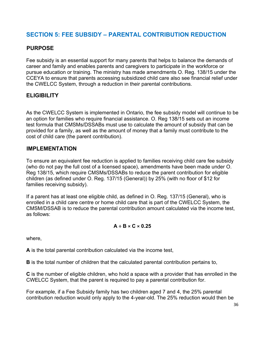# <span id="page-35-0"></span>**SECTION 5: FEE SUBSIDY – PARENTAL CONTRIBUTION REDUCTION**

### <span id="page-35-1"></span>**PURPOSE**

Fee subsidy is an essential support for many parents that helps to balance the demands of career and family and enables parents and caregivers to participate in the workforce or pursue education or training. The ministry has made amendments O. Reg. 138/15 under the CCEYA to ensure that parents accessing subsidized child care also see financial relief under the CWELCC System, through a reduction in their parental contributions.

### <span id="page-35-2"></span>**ELIGIBILITY**

As the CWELCC System is implemented in Ontario, the fee subsidy model will continue to be an option for families who require financial assistance. O. Reg 138/15 sets out an income test formula that CMSMs/DSSABs must use to calculate the amount of subsidy that can be provided for a family, as well as the amount of money that a family must contribute to the cost of child care (the parent contribution).

### <span id="page-35-3"></span>**IMPLEMENTATION**

To ensure an equivalent fee reduction is applied to families receiving child care fee subsidy (who do not pay the full cost of a licensed space), amendments have been made under O. Reg 138/15, which require CMSMs/DSSABs to reduce the parent contribution for eligible children (as defined under O. Reg. 137/15 (General)) by 25% (with no floor of \$12 for families receiving subsidy).

If a parent has at least one eligible child, as defined in O. Reg. 137/15 (General), who is enrolled in a child care centre or home child care that is part of the CWELCC System, the CMSM/DSSAB is to reduce the parental contribution amount calculated via the income test, as follows:

### **A ÷ B × C × 0.25**

where,

**A** is the total parental contribution calculated via the income test,

**B** is the total number of children that the calculated parental contribution pertains to,

**C** is the number of eligible children, who hold a space with a provider that has enrolled in the CWELCC System, that the parent is required to pay a parental contribution for.

For example, if a Fee Subsidy family has two children aged 7 and 4, the 25% parental contribution reduction would only apply to the 4-year-old. The 25% reduction would then be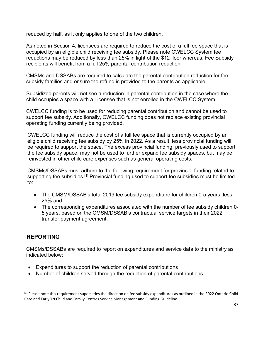reduced by half, as it only applies to one of the two children.

As noted in Section 4, licensees are required to reduce the cost of a full fee space that is occupied by an eligible child receiving fee subsidy. Please note CWELCC System fee reductions may be reduced by less than 25% in light of the \$12 floor whereas, Fee Subsidy recipients will benefit from a full 25% parental contribution reduction.

CMSMs and DSSABs are required to calculate the parental contribution reduction for fee subsidy families and ensure the refund is provided to the parents as applicable.

Subsidized parents will not see a reduction in parental contribution in the case where the child occupies a space with a Licensee that is not enrolled in the CWELCC System.

CWELCC funding is to be used for reducing parental contribution and cannot be used to support fee subsidy. Additionally, CWELCC funding does not replace existing provincial operating funding currently being provided.

CWELCC funding will reduce the cost of a full fee space that is currently occupied by an eligible child receiving fee subsidy by 25% in 2022. As a result, less provincial funding will be required to support the space. The excess provincial funding, previously used to support the fee subsidy space, may not be used to further expand fee subsidy spaces, but may be reinvested in other child care expenses such as general operating costs.

CMSMs/DSSABs must adhere to the following requirement for provincial funding related to supporting fee subsidies.<sup>[1]</sup> Provincial funding used to support fee subsidies must be limited to:

- The CMSM/DSSAB's total 2019 fee subsidy expenditure for children 0-5 years, less 25% and
- The corresponding expenditures associated with the number of fee subsidy children 0- 5 years, based on the CMSM/DSSAB's contractual service targets in their 2022 transfer payment agreement.

## **REPORTING**

CMSMs/DSSABs are required to report on expenditures and service data to the ministry as indicated below:

- Expenditures to support the reduction of parental contributions
- Number of children served through the reduction of parental contributions

<sup>&</sup>lt;sup>[1]</sup> Please note this requirement supersedes the direction on fee subsidy expenditures as outlined in the 2022 Ontario Child Care and EarlyON Child and Family Centres Service Management and Funding Guideline.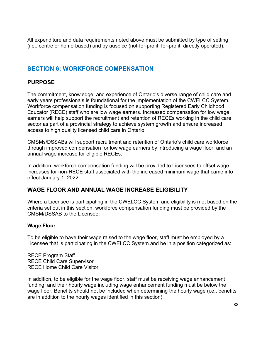All expenditure and data requirements noted above must be submitted by type of setting (i.e., centre or home-based) and by auspice (not-for-profit, for-profit, directly operated).

## **SECTION 6: WORKFORCE COMPENSATION**

## **PURPOSE**

The commitment, knowledge, and experience of Ontario's diverse range of child care and early years professionals is foundational for the implementation of the CWELCC System. Workforce compensation funding is focused on supporting Registered Early Childhood Educator (RECE) staff who are low wage earners. Increased compensation for low wage earners will help support the recruitment and retention of RECEs working in the child care sector as part of a provincial strategy to achieve system growth and ensure increased access to high quality licensed child care in Ontario.

CMSMs/DSSABs will support recruitment and retention of Ontario's child care workforce through improved compensation for low wage earners by introducing a wage floor, and an annual wage increase for eligible RECEs.

In addition, workforce compensation funding will be provided to Licensees to offset wage increases for non-RECE staff associated with the increased minimum wage that came into effect January 1, 2022.

## **WAGE FLOOR AND ANNUAL WAGE INCREASE ELIGIBILITY**

Where a Licensee is participating in the CWELCC System and eligibility is met based on the criteria set out in this section, workforce compensation funding must be provided by the CMSM/DSSAB to the Licensee.

## **Wage Floor**

To be eligible to have their wage raised to the wage floor, staff must be employed by a Licensee that is participating in the CWELCC System and be in a position categorized as:

RECE Program Staff RECE Child Care Supervisor RECE Home Child Care Visitor

In addition, to be eligible for the wage floor, staff must be receiving wage enhancement funding, and their hourly wage including wage enhancement funding must be below the wage floor. Benefits should not be included when determining the hourly wage (i.e., benefits are in addition to the hourly wages identified in this section).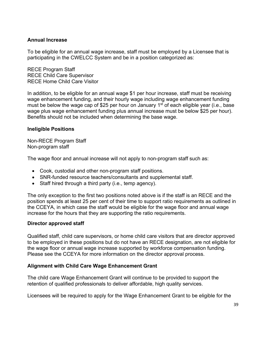#### **Annual Increase**

To be eligible for an annual wage increase, staff must be employed by a Licensee that is participating in the CWELCC System and be in a position categorized as:

RECE Program Staff RECE Child Care Supervisor RECE Home Child Care Visitor

In addition, to be eligible for an annual wage \$1 per hour increase, staff must be receiving wage enhancement funding, and their hourly wage including wage enhancement funding must be below the wage cap of \$25 per hour on January 1<sup>st</sup> of each eligible year (i.e., base wage plus wage enhancement funding plus annual increase must be below \$25 per hour). Benefits should not be included when determining the base wage.

#### **Ineligible Positions**

Non-RECE Program Staff Non-program staff

The wage floor and annual increase will not apply to non-program staff such as:

- Cook, custodial and other non-program staff positions.
- SNR-funded resource teachers/consultants and supplemental staff.
- Staff hired through a third party (i.e., temp agency).

The only exception to the first two positions noted above is if the staff is an RECE and the position spends at least 25 per cent of their time to support ratio requirements as outlined in the CCEYA, in which case the staff would be eligible for the wage floor and annual wage increase for the hours that they are supporting the ratio requirements.

#### **Director approved staff**

Qualified staff, child care supervisors, or home child care visitors that are director approved to be employed in these positions but do not have an RECE designation, are not eligible for the wage floor or annual wage increase supported by workforce compensation funding. Please see the CCEYA for more information on the director approval process.

#### **Alignment with Child Care Wage Enhancement Grant**

The child care Wage Enhancement Grant will continue to be provided to support the retention of qualified professionals to deliver affordable, high quality services.

Licensees will be required to apply for the Wage Enhancement Grant to be eligible for the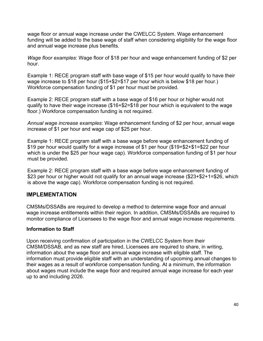wage floor or annual wage increase under the CWELCC System. Wage enhancement funding will be added to the base wage of staff when considering eligibility for the wage floor and annual wage increase plus benefits.

*Wage floor examples*: Wage floor of \$18 per hour and wage enhancement funding of \$2 per hour.

Example 1: RECE program staff with base wage of \$15 per hour would qualify to have their wage increase to \$18 per hour (\$15+\$2=\$17 per hour which is below \$18 per hour.) Workforce compensation funding of \$1 per hour must be provided.

Example 2: RECE program staff with a base wage of \$16 per hour or higher would not qualify to have their wage increase (\$16+\$2=\$18 per hour which is equivalent to the wage floor.) Workforce compensation funding is not required.

*Annual wage increase examples*: Wage enhancement funding of \$2 per hour, annual wage increase of \$1 per hour and wage cap of \$25 per hour.

Example 1: RECE program staff with a base wage before wage enhancement funding of \$19 per hour would qualify for a wage increase of \$1 per hour (\$19+\$2+\$1=\$22 per hour which is under the \$25 per hour wage cap). Workforce compensation funding of \$1 per hour must be provided.

Example 2: RECE program staff with a base wage before wage enhancement funding of \$23 per hour or higher would not qualify for an annual wage increase (\$23+\$2+1=\$26, which is above the wage cap). Workforce compensation funding is not required.

## **IMPLEMENTATION**

CMSMs/DSSABs are required to develop a method to determine wage floor and annual wage increase entitlements within their region. In addition, CMSMs/DSSABs are required to monitor compliance of Licensees to the wage floor and annual wage increase requirements.

## **Information to Staff**

Upon receiving confirmation of participation in the CWELCC System from their CMSM/DSSAB, and as new staff are hired, Licensees are required to share, in writing, information about the wage floor and annual wage increase with eligible staff. The information must provide eligible staff with an understanding of upcoming annual changes to their wages as a result of workforce compensation funding. At a minimum, the information about wages must include the wage floor and required annual wage increase for each year up to and including 2026.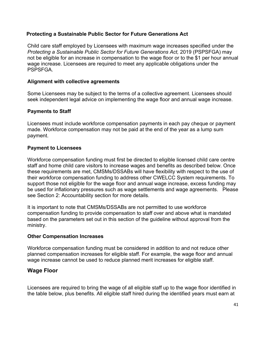#### **Protecting a Sustainable Public Sector for Future Generations Act**

Child care staff employed by Licensees with maximum wage increases specified under the *Protecting a Sustainable Public Sector for Future Generations Act,* 2019 (PSPSFGA) may not be eligible for an increase in compensation to the wage floor or to the \$1 per hour annual wage increase. Licensees are required to meet any applicable obligations under the **PSPSFGA** 

#### **Alignment with collective agreements**

Some Licensees may be subject to the terms of a collective agreement. Licensees should seek independent legal advice on implementing the wage floor and annual wage increase.

## **Payments to Staff**

Licensees must include workforce compensation payments in each pay cheque or payment made. Workforce compensation may not be paid at the end of the year as a lump sum payment.

## **Payment to Licensees**

Workforce compensation funding must first be directed to eligible licensed child care centre staff and home child care visitors to increase wages and benefits as described below. Once these requirements are met, CMSMs/DSSABs will have flexibility with respect to the use of their workforce compensation funding to address other CWELCC System requirements. To support those not eligible for the wage floor and annual wage increase, excess funding may be used for inflationary pressures such as wage settlements and wage agreements. Please see Section 2: Accountability section for more details.

It is important to note that CMSMs/DSSABs are not permitted to use workforce compensation funding to provide compensation to staff over and above what is mandated based on the parameters set out in this section of the guideline without approval from the ministry.

#### **Other Compensation Increases**

Workforce compensation funding must be considered in addition to and not reduce other planned compensation increases for eligible staff. For example, the wage floor and annual wage increase cannot be used to reduce planned merit increases for eligible staff.

## **Wage Floor**

Licensees are required to bring the wage of all eligible staff up to the wage floor identified in the table below, plus benefits. All eligible staff hired during the identified years must earn at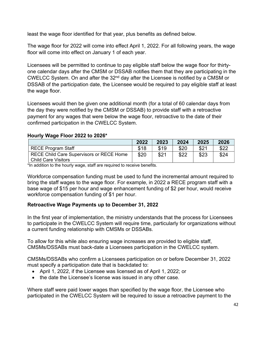least the wage floor identified for that year, plus benefits as defined below.

The wage floor for 2022 will come into effect April 1, 2022. For all following years, the wage floor will come into effect on January 1 of each year.

Licensees will be permitted to continue to pay eligible staff below the wage floor for thirtyone calendar days after the CMSM or DSSAB notifies them that they are participating in the CWELCC System. On and after the 32nd day after the Licensee is notified by a CMSM or DSSAB of the participation date, the Licensee would be required to pay eligible staff at least the wage floor.

Licensees would then be given one additional month (for a total of 60 calendar days from the day they were notified by the CMSM or DSSAB) to provide staff with a retroactive payment for any wages that were below the wage floor, retroactive to the date of their confirmed participation in the CWELCC System.

## **Hourly Wage Floor 2022 to 2026\***

|                                                 | 2022 | 2023 | 2024 | 2025 | 2026 |
|-------------------------------------------------|------|------|------|------|------|
| <b>RECE Program Staff</b>                       | \$18 | \$19 | \$20 | \$21 | \$22 |
| <b>RECE Child Care Supervisors or RECE Home</b> | \$20 | \$21 | \$22 | \$23 | \$24 |
| <b>Child Care Visitors</b>                      |      |      |      |      |      |

\*In addition to the hourly wage, staff are required to receive benefits.

Workforce compensation funding must be used to fund the incremental amount required to bring the staff wages to the wage floor. For example, in 2022 a RECE program staff with a base wage of \$15 per hour and wage enhancement funding of \$2 per hour, would receive workforce compensation funding of \$1 per hour.

## **Retroactive Wage Payments up to December 31, 2022**

In the first year of implementation, the ministry understands that the process for Licensees to participate in the CWELCC System will require time, particularly for organizations without a current funding relationship with CMSMs or DSSABs.

To allow for this while also ensuring wage increases are provided to eligible staff, CMSMs/DSSABs must back-date a Licensees participation in the CWELCC system.

CMSMs/DSSABs who confirm a Licensees participation on or before December 31, 2022 must specify a participation date that is backdated to:

- April 1, 2022, if the Licensee was licensed as of April 1, 2022; or
- the date the Licensee's license was issued in any other case.

Where staff were paid lower wages than specified by the wage floor, the Licensee who participated in the CWELCC System will be required to issue a retroactive payment to the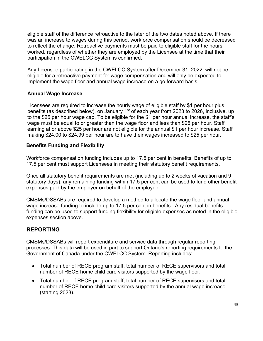eligible staff of the difference retroactive to the later of the two dates noted above. If there was an increase to wages during this period, workforce compensation should be decreased to reflect the change. Retroactive payments must be paid to eligible staff for the hours worked, regardless of whether they are employed by the Licensee at the time that their participation in the CWELCC System is confirmed.

Any Licensee participating in the CWELCC System after December 31, 2022, will not be eligible for a retroactive payment for wage compensation and will only be expected to implement the wage floor and annual wage increase on a go forward basis.

## **Annual Wage Increase**

Licensees are required to increase the hourly wage of eligible staff by \$1 per hour plus benefits (as described below), on January 1<sup>st</sup> of each year from 2023 to 2026, inclusive, up to the \$25 per hour wage cap. To be eligible for the \$1 per hour annual increase, the staff's wage must be equal to or greater than the wage floor and less than \$25 per hour. Staff earning at or above \$25 per hour are not eligible for the annual \$1 per hour increase. Staff making \$24.00 to \$24.99 per hour are to have their wages increased to \$25 per hour.

## **Benefits Funding and Flexibility**

Workforce compensation funding includes up to 17.5 per cent in benefits. Benefits of up to 17.5 per cent must support Licensees in meeting their statutory benefit requirements.

Once all statutory benefit requirements are met (including up to 2 weeks of vacation and 9 statutory days), any remaining funding within 17.5 per cent can be used to fund other benefit expenses paid by the employer on behalf of the employee.

CMSMs/DSSABs are required to develop a method to allocate the wage floor and annual wage increase funding to include up to 17.5 per cent in benefits. Any residual benefits funding can be used to support funding flexibility for eligible expenses as noted in the eligible expenses section above.

## **REPORTING**

CMSMs/DSSABs will report expenditure and service data through regular reporting processes. This data will be used in part to support Ontario's reporting requirements to the Government of Canada under the CWELCC System. Reporting includes:

- Total number of RECE program staff, total number of RECE supervisors and total number of RECE home child care visitors supported by the wage floor.
- Total number of RECE program staff, total number of RECE supervisors and total number of RECE home child care visitors supported by the annual wage increase (starting 2023).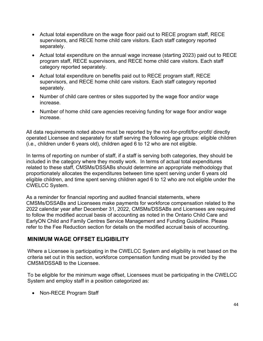- Actual total expenditure on the wage floor paid out to RECE program staff, RECE supervisors, and RECE home child care visitors. Each staff category reported separately.
- Actual total expenditure on the annual wage increase (starting 2023) paid out to RECE program staff, RECE supervisors, and RECE home child care visitors. Each staff category reported separately.
- Actual total expenditure on benefits paid out to RECE program staff, RECE supervisors, and RECE home child care visitors. Each staff category reported separately.
- Number of child care centres or sites supported by the wage floor and/or wage increase.
- Number of home child care agencies receiving funding for wage floor and/or wage increase.

All data requirements noted above must be reported by the not-for-profit/for-profit/ directly operated Licensee and separately for staff serving the following age groups: eligible children (i.e., children under 6 years old), children aged 6 to 12 who are not eligible.

In terms of reporting on number of staff, if a staff is serving both categories, they should be included in the category where they mostly work. In terms of actual total expenditures related to these staff, CMSMs/DSSABs should determine an appropriate methodology that proportionately allocates the expenditures between time spent serving under 6 years old eligible children, and time spent serving children aged 6 to 12 who are not eligible under the CWELCC System.

As a reminder for financial reporting and audited financial statements, where CMSMs/DSSABs and Licensees make payments for workforce compensation related to the 2022 calendar year after December 31, 2022, CMSMs/DSSABs and Licensees are required to follow the modified accrual basis of accounting as noted in the Ontario Child Care and EarlyON Child and Family Centres Service Management and Funding Guideline. Please refer to the Fee Reduction section for details on the modified accrual basis of accounting.

## **MINIMUM WAGE OFFSET ELIGIBILITY**

Where a Licensee is participating in the CWELCC System and eligibility is met based on the criteria set out in this section, workforce compensation funding must be provided by the CMSM/DSSAB to the Licensee.

To be eligible for the minimum wage offset, Licensees must be participating in the CWELCC System and employ staff in a position categorized as:

• Non-RECE Program Staff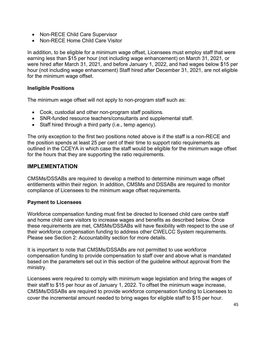- Non-RECE Child Care Supervisor
- Non-RECE Home Child Care Visitor

In addition, to be eligible for a minimum wage offset, Licensees must employ staff that were earning less than \$15 per hour (not including wage enhancement) on March 31, 2021, or were hired after March 31, 2021, and before January 1, 2022, and had wages below \$15 per hour (not including wage enhancement) Staff hired after December 31, 2021, are not eligible for the minimum wage offset.

## **Ineligible Positions**

The minimum wage offset will not apply to non-program staff such as:

- Cook, custodial and other non-program staff positions.
- SNR-funded resource teachers/consultants and supplemental staff.
- Staff hired through a third party (i.e., temp agency).

The only exception to the first two positions noted above is if the staff is a non-RECE and the position spends at least 25 per cent of their time to support ratio requirements as outlined in the CCEYA in which case the staff would be eligible for the minimum wage offset for the hours that they are supporting the ratio requirements.

## **IMPLEMENTATION**

CMSMs/DSSABs are required to develop a method to determine minimum wage offset entitlements within their region. In addition, CMSMs and DSSABs are required to monitor compliance of Licensees to the minimum wage offset requirements.

## **Payment to Licensees**

Workforce compensation funding must first be directed to licensed child care centre staff and home child care visitors to increase wages and benefits as described below. Once these requirements are met, CMSMs/DSSABs will have flexibility with respect to the use of their workforce compensation funding to address other CWELCC System requirements. Please see Section 2: Accountability section for more details.

It is important to note that CMSMs/DSSABs are not permitted to use workforce compensation funding to provide compensation to staff over and above what is mandated based on the parameters set out in this section of the guideline without approval from the ministry.

Licensees were required to comply with minimum wage legislation and bring the wages of their staff to \$15 per hour as of January 1, 2022. To offset the minimum wage increase, CMSMs/DSSABs are required to provide workforce compensation funding to Licensees to cover the incremental amount needed to bring wages for eligible staff to \$15 per hour.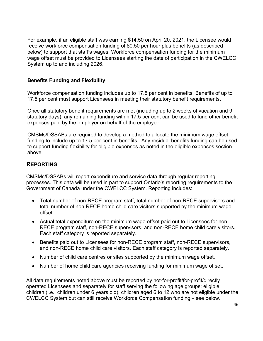For example, if an eligible staff was earning \$14.50 on April 20. 2021, the Licensee would receive workforce compensation funding of \$0.50 per hour plus benefits (as described below) to support that staff's wages. Workforce compensation funding for the minimum wage offset must be provided to Licensees starting the date of participation in the CWELCC System up to and including 2026.

## **Benefits Funding and Flexibility**

Workforce compensation funding includes up to 17.5 per cent in benefits. Benefits of up to 17.5 per cent must support Licensees in meeting their statutory benefit requirements.

Once all statutory benefit requirements are met (including up to 2 weeks of vacation and 9 statutory days), any remaining funding within 17.5 per cent can be used to fund other benefit expenses paid by the employer on behalf of the employee.

CMSMs/DSSABs are required to develop a method to allocate the minimum wage offset funding to include up to 17.5 per cent in benefits. Any residual benefits funding can be used to support funding flexibility for eligible expenses as noted in the eligible expenses section above.

## **REPORTING**

CMSMs/DSSABs will report expenditure and service data through regular reporting processes. This data will be used in part to support Ontario's reporting requirements to the Government of Canada under the CWELCC System. Reporting includes:

- Total number of non-RECE program staff, total number of non-RECE supervisors and total number of non-RECE home child care visitors supported by the minimum wage offset.
- Actual total expenditure on the minimum wage offset paid out to Licensees for non-RECE program staff, non-RECE supervisors, and non-RECE home child care visitors. Each staff category is reported separately.
- Benefits paid out to Licensees for non-RECE program staff, non-RECE supervisors, and non-RECE home child care visitors. Each staff category is reported separately.
- Number of child care centres or sites supported by the minimum wage offset.
- Number of home child care agencies receiving funding for minimum wage offset.

All data requirements noted above must be reported by not-for-profit/for-profit/directly operated Licensees and separately for staff serving the following age groups: eligible children (i.e., children under 6 years old), children aged 6 to 12 who are not eligible under the CWELCC System but can still receive Workforce Compensation funding – see below.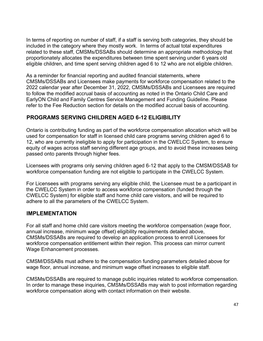In terms of reporting on number of staff, if a staff is serving both categories, they should be included in the category where they mostly work. In terms of actual total expenditures related to these staff, CMSMs/DSSABs should determine an appropriate methodology that proportionately allocates the expenditures between time spent serving under 6 years old eligible children, and time spent serving children aged 6 to 12 who are not eligible children.

As a reminder for financial reporting and audited financial statements, where CMSMs/DSSABs and Licensees make payments for workforce compensation related to the 2022 calendar year after December 31, 2022, CMSMs/DSSABs and Licensees are required to follow the modified accrual basis of accounting as noted in the Ontario Child Care and EarlyON Child and Family Centres Service Management and Funding Guideline. Please refer to the Fee Reduction section for details on the modified accrual basis of accounting.

## **PROGRAMS SERVING CHILDREN AGED 6-12 ELIGIBILITY**

Ontario is contributing funding as part of the workforce compensation allocation which will be used for compensation for staff in licensed child care programs serving children aged 6 to 12, who are currently ineligible to apply for participation in the CWELCC System, to ensure equity of wages across staff serving different age groups, and to avoid these increases being passed onto parents through higher fees.

Licensees with programs only serving children aged 6-12 that apply to the CMSM/DSSAB for workforce compensation funding are not eligible to participate in the CWELCC System.

For Licensees with programs serving any eligible child, the Licensee must be a participant in the CWELCC System in order to access workforce compensation (funded through the CWELCC System) for eligible staff and home child care visitors, and will be required to adhere to all the parameters of the CWELCC System.

## **IMPLEMENTATION**

For all staff and home child care visitors meeting the workforce compensation (wage floor, annual increase, minimum wage offset) eligibility requirements detailed above, CMSMs/DSSABs are required to develop an application process to enroll Licensees for workforce compensation entitlement within their region. This process can mirror current Wage Enhancement processes.

CMSM/DSSABs must adhere to the compensation funding parameters detailed above for wage floor, annual increase, and minimum wage offset increases to eligible staff.

CMSMs/DSSABs are required to manage public inquiries related to workforce compensation. In order to manage these inquiries, CMSMs/DSSABs may wish to post information regarding workforce compensation along with contact information on their website.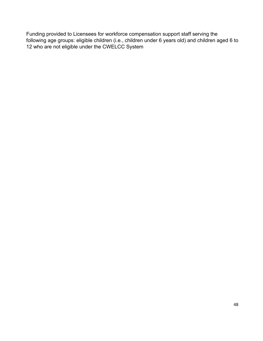Funding provided to Licensees for workforce compensation support staff serving the following age groups: eligible children (i.e., children under 6 years old) and children aged 6 to 12 who are not eligible under the CWELCC System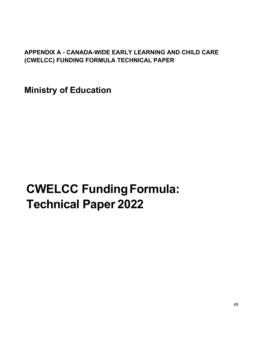## **APPENDIX A - CANADA-WIDE EARLY LEARNING AND CHILD CARE (CWELCC) FUNDING FORMULA TECHNICAL PAPER**

**Ministry of Education**

# **CWELCC FundingFormula: Technical Paper 2022**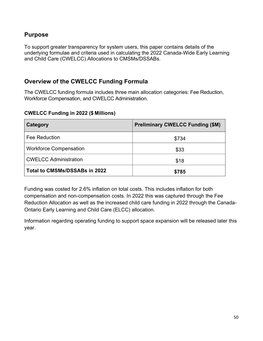## **Purpose**

To support greater transparency for system users, this paper contains details of the underlying formulae and criteria used in calculating the 2022 Canada-Wide Early Learning and Child Care (CWELCC) Allocations to CMSMs/DSSABs.

## **Overview of the CWELCC Funding Formula**

The CWELCC funding formula includes three main allocation categories: Fee Reduction, Workforce Compensation, and CWELCC Administration.

#### **CWELCC Funding in 2022 (\$ Millions)**

| Category                      | <b>Preliminary CWELCC Funding (\$M)</b> |  |
|-------------------------------|-----------------------------------------|--|
| <b>Fee Reduction</b>          | \$734                                   |  |
| <b>Workforce Compensation</b> | \$33                                    |  |
| <b>CWELCC Administration</b>  | \$18                                    |  |
| Total to CMSMs/DSSABs in 2022 | \$785                                   |  |

Funding was costed for 2.6% inflation on total costs. This includes inflation for both compensation and non-compensation costs. In 2022 this was captured through the Fee Reduction Allocation as well as the increased child care funding in 2022 through the Canada-Ontario Early Learning and Child Care (ELCC) allocation.

Information regarding operating funding to support space expansion will be released later this year.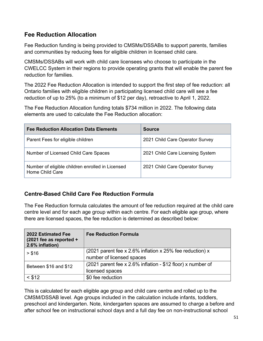## **Fee Reduction Allocation**

Fee Reduction funding is being provided to CMSMs/DSSABs to support parents, families and communities by reducing fees for eligible children in licensed child care.

CMSMs/DSSABs will work with child care licensees who choose to participate in the CWELCC System in their regions to provide operating grants that will enable the parent fee reduction for families.

The 2022 Fee Reduction Allocation is intended to support the first step of fee reduction: all Ontario families with eligible children in participating licensed child care will see a fee reduction of up to 25% (to a minimum of \$12 per day), retroactive to April 1, 2022.

The Fee Reduction Allocation funding totals \$734 million in 2022. The following data elements are used to calculate the Fee Reduction allocation:

| <b>Fee Reduction Allocation Data Elements</b>                       | <b>Source</b>                    |
|---------------------------------------------------------------------|----------------------------------|
| Parent Fees for eligible children                                   | 2021 Child Care Operator Survey  |
| Number of Licensed Child Care Spaces                                | 2021 Child Care Licensing System |
| Number of eligible children enrolled in Licensed<br>Home Child Care | 2021 Child Care Operator Survey  |

## **Centre-Based Child Care Fee Reduction Formula**

The Fee Reduction formula calculates the amount of fee reduction required at the child care centre level and for each age group within each centre. For each eligible age group, where there are licensed spaces, the fee reduction is determined as described below:

| 2022 Estimated Fee<br>$(2021$ fee as reported +<br>2.6% inflation) | <b>Fee Reduction Formula</b>                                                          |
|--------------------------------------------------------------------|---------------------------------------------------------------------------------------|
| > \$16                                                             | (2021 parent fee x 2.6% inflation x 25% fee reduction) x<br>number of licensed spaces |
| Between \$16 and \$12                                              | (2021 parent fee x 2.6% inflation - \$12 floor) x number of<br>licensed spaces        |
| < \$12                                                             | \$0 fee reduction                                                                     |

This is calculated for each eligible age group and child care centre and rolled up to the CMSM/DSSAB level. Age groups included in the calculation include infants, toddlers, preschool and kindergarten. Note, kindergarten spaces are assumed to charge a before and after school fee on instructional school days and a full day fee on non-instructional school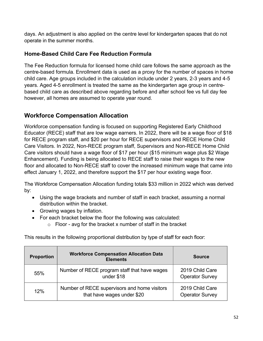days. An adjustment is also applied on the centre level for kindergarten spaces that do not operate in the summer months.

## **Home-Based Child Care Fee Reduction Formula**

The Fee Reduction formula for licensed home child care follows the same approach as the centre-based formula. Enrollment data is used as a proxy for the number of spaces in home child care. Age groups included in the calculation include under 2 years, 2-3 years and 4-5 years. Aged 4-5 enrollment is treated the same as the kindergarten age group in centrebased child care as described above regarding before and after school fee vs full day fee however, all homes are assumed to operate year round.

## **Workforce Compensation Allocation**

Workforce compensation funding is focused on supporting Registered Early Childhood Educator (RECE) staff that are low wage earners. In 2022, there will be a wage floor of \$18 for RECE program staff, and \$20 per hour for RECE supervisors and RECE Home Child Care Visitors. In 2022, Non-RECE program staff, Supervisors and Non-RECE Home Child Care visitors should have a wage floor of \$17 per hour (\$15 minimum wage plus \$2 Wage Enhancement). Funding is being allocated to RECE staff to raise their wages to the new floor and allocated to Non-RECE staff to cover the increased minimum wage that came into effect January 1, 2022, and therefore support the \$17 per hour existing wage floor.

The Workforce Compensation Allocation funding totals \$33 million in 2022 which was derived by:

- Using the wage brackets and number of staff in each bracket, assuming a normal distribution within the bracket.
- Growing wages by inflation.
- For each bracket below the floor the following was calculated:
	- $\circ$  Floor avg for the bracket x number of staff in the bracket

This results in the following proportional distribution by type of staff for each floor:

| <b>Proportion</b> | <b>Workforce Compensation Allocation Data</b><br><b>Elements</b>           | <b>Source</b>                             |
|-------------------|----------------------------------------------------------------------------|-------------------------------------------|
| 55%               | Number of RECE program staff that have wages<br>under \$18                 | 2019 Child Care<br><b>Operator Survey</b> |
| 12%               | Number of RECE supervisors and home visitors<br>that have wages under \$20 | 2019 Child Care<br><b>Operator Survey</b> |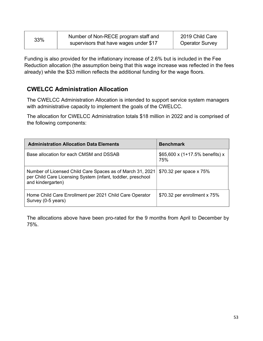| 33% | Number of Non-RECE program staff and   | 2019 Child Care        |
|-----|----------------------------------------|------------------------|
|     | supervisors that have wages under \$17 | <b>Operator Survey</b> |

Funding is also provided for the inflationary increase of 2.6% but is included in the Fee Reduction allocation (the assumption being that this wage increase was reflected in the fees already) while the \$33 million reflects the additional funding for the wage floors.

## **CWELCC Administration Allocation**

The CWELCC Administration Allocation is intended to support service system managers with administrative capacity to implement the goals of the CWELCC.

The allocation for CWELCC Administration totals \$18 million in 2022 and is comprised of the following components:

| <b>Administration Allocation Data Elements</b>                                                                                                | <b>Benchmark</b>                          |
|-----------------------------------------------------------------------------------------------------------------------------------------------|-------------------------------------------|
| Base allocation for each CMSM and DSSAB                                                                                                       | \$65,600 x $(1+17.5\%$ benefits) x<br>75% |
| Number of Licensed Child Care Spaces as of March 31, 2021<br>per Child Care Licensing System (infant, toddler, preschool<br>and kindergarten) | \$70.32 per space x 75%                   |
| Home Child Care Enrollment per 2021 Child Care Operator<br>Survey (0-5 years)                                                                 | \$70.32 per enrollment x 75%              |

The allocations above have been pro-rated for the 9 months from April to December by 75%.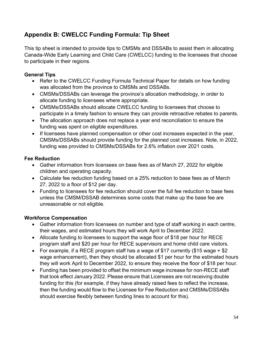## **Appendix B: CWELCC Funding Formula: Tip Sheet**

This tip sheet is intended to provide tips to CMSMs and DSSABs to assist them in allocating Canada-Wide Early Learning and Child Care (CWELCC) funding to the licensees that choose to participate in their regions.

## **General Tips**

- Refer to the CWELCC Funding Formula Technical Paper for details on how funding was allocated from the province to CMSMs and DSSABs.
- CMSMs/DSSABs can leverage the province's allocation methodology, in order to allocate funding to licensees where appropriate.
- CMSMs/DSSABs should allocate CWELCC funding to licensees that choose to participate in a timely fashion to ensure they can provide retroactive rebates to parents.
- The allocation approach does not replace a year end reconciliation to ensure the funding was spent on eligible expenditures.
- If licensees have planned compensation or other cost increases expected in the year, CMSMs/DSSABs should provide funding for the planned cost increases. Note, in 2022, funding was provided to CMSMs/DSSABs for 2.6% inflation over 2021 costs.

## **Fee Reduction**

- Gather information from licensees on base fees as of March 27, 2022 for eligible children and operating capacity.
- Calculate fee reduction funding based on a 25% reduction to base fees as of March 27, 2022 to a floor of \$12 per day.
- Funding to licensees for fee reduction should cover the full fee reduction to base fees unless the CMSM/DSSAB determines some costs that make up the base fee are unreasonable or not eligible.

## **Workforce Compensation**

- Gather information from licensees on number and type of staff working in each centre, their wages, and estimated hours they will work April to December 2022.
- Allocate funding to licensees to support the wage floor of \$18 per hour for RECE program staff and \$20 per hour for RECE supervisors and home child care visitors.
- For example, if a RECE program staff has a wage of \$17 currently (\$15 wage + \$2 wage enhancement), then they should be allocated \$1 per hour for the estimated hours they will work April to December 2022, to ensure they receive the floor of \$18 per hour.
- Funding has been provided to offset the minimum wage increase for non-RECE staff that took effect January 2022. Please ensure that Licensees are not receiving double funding for this (for example, if they have already raised fees to reflect the increase, then the funding would flow to the Licensee for Fee Reduction and CMSMs/DSSABs should exercise flexibly between funding lines to account for this).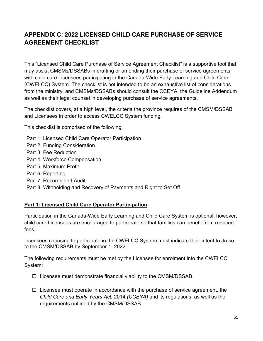## **APPENDIX C: 2022 LICENSED CHILD CARE PURCHASE OF SERVICE AGREEMENT CHECKLIST**

This "Licensed Child Care Purchase of Service Agreement Checklist" is a supportive tool that may assist CMSMs/DSSABs in drafting or amending their purchase of service agreements with child care Licensees participating in the Canada-Wide Early Learning and Child Care (CWELCC) System. The checklist is not intended to be an exhaustive list of considerations from the ministry, and CMSMs/DSSABs should consult the CCEYA, the Guideline Addendum as well as their legal counsel in developing purchase of service agreements.

The checklist covers, at a high level, the criteria the province requires of the CMSM/DSSAB and Licensees in order to access CWELCC System funding.

This checklist is comprised of the following:

Part 1: Licensed Child Care Operator Participation

- Part 2: Funding Consideration
- Part 3: Fee Reduction
- Part 4: Workforce Compensation
- Part 5: Maximum Profit
- Part 6: Reporting
- Part 7: Records and Audit
- Part 8: Withholding and Recovery of Payments and Right to Set Off

## **Part 1: Licensed Child Care Operator Participation**

Participation in the Canada-Wide Early Learning and Child Care System is optional; however, child care Licensees are encouraged to participate so that families can benefit from reduced fees.

Licensees choosing to participate in the CWELCC System must indicate their intent to do so to the CMSM/DSSAB by September 1, 2022.

The following requirements must be met by the Licensee for enrolment into the CWELCC System:

- $\square$  Licensee must demonstrate financial viability to the CMSM/DSSAB.
- $\Box$  Licensee must operate in accordance with the purchase of service agreement, the *Child Care and Early Years Act,* 2014 *(CCEYA)* and its regulations, as well as the requirements outlined by the CMSM/DSSAB.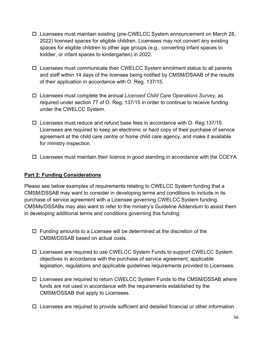- $\Box$  Licensees must maintain existing (pre-CWELCC System announcement on March 28, 2022) licensed spaces for eligible children. Licensees may not convert any existing spaces for eligible children to other age groups (e.g., converting infant spaces to toddler, or infant spaces to kindergarten) in 2022.
- $\Box$  Licensees must communicate their CWELCC System enrolment status to all parents and staff within 14 days of the licensee being notified by CMSM/DSAAB of the results of their application in accordance with O. Reg. 137/15.
- Licensees must complete the annual *Licensed Child Care Operations Survey*, as required under section 77 of O. Reg. 137/15 in order to continue to receive funding under the CWELCC System.
- $\Box$  Licensees must reduce and refund base fees in accordance with O. Reg.137/15. Licensees are required to keep an electronic or hard copy of their purchase of service agreement at the child care centre or home child care agency, and make it available for ministry inspection.
- $\Box$  Licensees must maintain their licence in good standing in accordance with the CCEYA.

## **Part 2: Funding Considerations**

Please see below examples of requirements relating to CWELCC System funding that a CMSM/DSSAB may want to consider in developing terms and conditions to include in its purchase of service agreement with a Licensee governing CWELCC System funding. CMSMs/DSSABs may also want to refer to the ministry's Guideline Addendum to assist them in developing additional terms and conditions governing this funding:

- $\square$  Funding amounts to a Licensee will be determined at the discretion of the CMSM/DSSAB based on actual costs.
- $\Box$  Licensees are required to use CWELCC System Funds to support CWELCC System objectives in accordance with the purchase of service agreement, applicable legislation, regulations and applicable guidelines requirements provided to Licensees.
- $\Box$  Licensees are required to return CWELCC System Funds to the CMSM/DSSAB where funds are not used in accordance with the requirements established by the CMSM/DSSAB that apply to Licensees.
- $\Box$  Licensees are required to provide sufficient and detailed financial or other information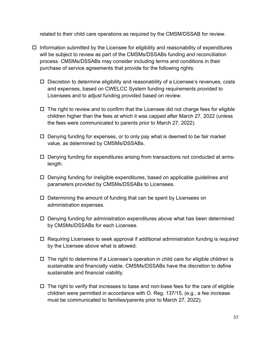related to their child care operations as required by the CMSM/DSSAB for review.

- $\Box$  Information submitted by the Licensee for eligibility and reasonability of expenditures will be subject to review as part of the CMSMs/DSSABs funding and reconciliation process. CMSMs/DSSABs may consider including terms and conditions in their purchase of service agreements that provide for the following rights:
	- $\Box$  Discretion to determine eligibility and reasonability of a Licensee's revenues, costs and expenses, based on CWELCC System funding requirements provided to Licensees and to adjust funding provided based on review.
	- $\Box$  The right to review and to confirm that the Licensee did not charge fees for eligible children higher than the fees at which it was capped after March 27, 2022 (unless the fees were communicated to parents prior to March 27, 2022).
	- $\Box$  Denying funding for expenses, or to only pay what is deemed to be fair market value, as determined by CMSMs/DSSABs.
	- Denying funding for expenditures arising from transactions not conducted at armslength.
	- $\Box$  Denying funding for ineligible expenditures, based on applicable guidelines and parameters provided by CMSMs/DSSABs to Licensees.
	- $\Box$  Determining the amount of funding that can be spent by Licensees on administration expenses.
	- $\Box$  Denying funding for administration expenditures above what has been determined by CMSMs/DSSABs for each Licensee.
	- $\Box$  Requiring Licensees to seek approval if additional administration funding is required by the Licensee above what is allowed.
	- $\Box$  The right to determine if a Licensee's operation in child care for eligible children is sustainable and financially viable. CMSMs/DSSABs have the discretion to define sustainable and financial viability.
	- $\Box$  The right to verify that increases to base and non-base fees for the care of eligible children were permitted in accordance with O. Reg. 137/15, (e.g., a fee increase must be communicated to families/parents prior to March 27, 2022).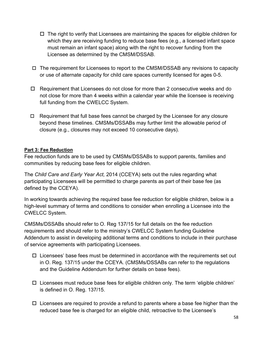- $\Box$  The right to verify that Licensees are maintaining the spaces for eligible children for which they are receiving funding to reduce base fees (e.g., a licensed infant space must remain an infant space) along with the right to recover funding from the Licensee as determined by the CMSM/DSSAB.
- $\Box$  The requirement for Licensees to report to the CMSM/DSSAB any revisions to capacity or use of alternate capacity for child care spaces currently licensed for ages 0-5.
- $\Box$  Requirement that Licensees do not close for more than 2 consecutive weeks and do not close for more than 4 weeks within a calendar year while the licensee is receiving full funding from the CWELCC System.
- $\Box$  Requirement that full base fees cannot be charged by the Licensee for any closure beyond these timelines. CMSMs/DSSABs may further limit the allowable period of closure (e.g., closures may not exceed 10 consecutive days).

## **Part 3: Fee Reduction**

Fee reduction funds are to be used by CMSMs/DSSABs to support parents, families and communities by reducing base fees for eligible children.

The *Child Care and Early Year Act,* 2014 (CCEYA) sets out the rules regarding what participating Licensees will be permitted to charge parents as part of their base fee (as defined by the CCEYA).

In working towards achieving the required base fee reduction for eligible children, below is a high-level summary of terms and conditions to consider when enrolling a Licensee into the CWELCC System.

CMSMs/DSSABs should refer to O. Reg 137/15 for full details on the fee reduction requirements and should refer to the ministry's CWELCC System funding Guideline Addendum to assist in developing additional terms and conditions to include in their purchase of service agreements with participating Licensees.

- $\Box$  Licensees' base fees must be determined in accordance with the requirements set out in O. Reg. 137/15 under the CCEYA. (CMSMs/DSSABs can refer to the regulations and the Guideline Addendum for further details on base fees).
- $\Box$  Licensees must reduce base fees for eligible children only. The term 'eligible children' is defined in O. Reg. 137/15.
- $\Box$  Licensees are required to provide a refund to parents where a base fee higher than the reduced base fee is charged for an eligible child, retroactive to the Licensee's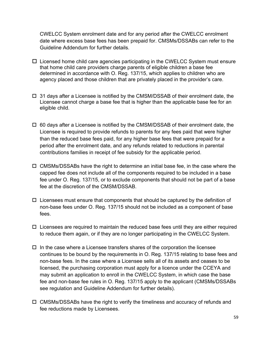CWELCC System enrolment date and for any period after the CWELCC enrolment date where excess base fees has been prepaid for. CMSMs/DSSABs can refer to the Guideline Addendum for further details.

- $\Box$  Licensed home child care agencies participating in the CWELCC System must ensure that home child care providers charge parents of eligible children a base fee determined in accordance with O. Reg. 137/15, which applies to children who are agency placed and those children that are privately placed in the provider's care.
- $\Box$  31 days after a Licensee is notified by the CMSM/DSSAB of their enrolment date, the Licensee cannot charge a base fee that is higher than the applicable base fee for an eligible child.
- $\Box$  60 days after a Licensee is notified by the CMSM/DSSAB of their enrolment date, the Licensee is required to provide refunds to parents for any fees paid that were higher than the reduced base fees paid, for any higher base fees that were prepaid for a period after the enrolment date, and any refunds related to reductions in parental contributions families in receipt of fee subsidy for the applicable period.
- $\Box$  CMSMs/DSSABs have the right to determine an initial base fee, in the case where the capped fee does not include all of the components required to be included in a base fee under O. Reg. 137/15, or to exclude components that should not be part of a base fee at the discretion of the CMSM/DSSAB.
- $\Box$  Licensees must ensure that components that should be captured by the definition of non-base fees under O. Reg. 137/15 should not be included as a component of base fees.
- $\Box$  Licensees are required to maintain the reduced base fees until they are either required to reduce them again, or if they are no longer participating in the CWELCC System.
- $\Box$  In the case where a Licensee transfers shares of the corporation the licensee continues to be bound by the requirements in O. Reg. 137/15 relating to base fees and non-base fees. In the case where a Licensee sells all of its assets and ceases to be licensed, the purchasing corporation must apply for a licence under the CCEYA and may submit an application to enroll in the CWELCC System, in which case the base fee and non-base fee rules in O. Reg. 137/15 apply to the applicant (CMSMs/DSSABs see regulation and Guideline Addendum for further details).
- $\square$  CMSMs/DSSABs have the right to verify the timeliness and accuracy of refunds and fee reductions made by Licensees.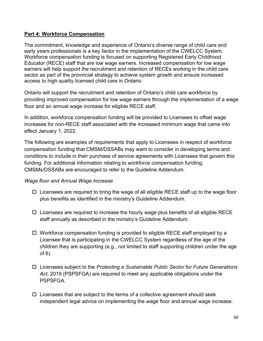## **Part 4: Workforce Compensation**

The commitment, knowledge and experience of Ontario's diverse range of child care and early years professionals is a key factor in the implementation of the CWELCC System. Workforce compensation funding is focused on supporting Registered Early Childhood Educator (RECE) staff that are low wage earners. Increased compensation for low wage earners will help support the recruitment and retention of RECEs working in the child care sector as part of the provincial strategy to achieve system growth and ensure increased access to high quality licensed child care in Ontario.

Ontario will support the recruitment and retention of Ontario's child care workforce by providing improved compensation for low wage earners through the implementation of a wage floor and an annual wage increase for eligible RECE staff.

In addition, workforce compensation funding will be provided to Licensees to offset wage increases for non-RECE staff associated with the increased minimum wage that came into effect January 1, 2022.

The following are examples of requirements that apply to Licensees in respect of workforce compensation funding that CMSM/DSSABs may want to consider in developing terms and conditions to include in their purchase of service agreements with Licensees that govern this funding. For additional information relating to workforce compensation funding, CMSMs/DSSABs are encouraged to refer to the Guideline Addendum.

#### *Wage floor and Annual Wage Increase*

- $\Box$  Licensees are required to bring the wage of all eligible RECE staff up to the wage floor plus benefits as identified in the ministry's Guideline Addendum.
- $\Box$  Licensees are required to increase the hourly wage plus benefits of all eligible RECE staff annually as described in the ministry's Guideline Addendum.
- $\Box$  Workforce compensation funding is provided to eligible RECE staff employed by a Licensee that is participating in the CWELCC System regardless of the age of the children they are supporting (e.g., not limited to staff supporting children under the age of 6).
- Licensees subject to the *Protecting a Sustainable Public Sector for Future Generations Act,* 2019 (PSPSFGA) are required to meet any applicable obligations under the PSPSFGA.
- $\Box$  Licensees that are subject to the terms of a collective agreement should seek independent legal advice on implementing the wage floor and annual wage increase.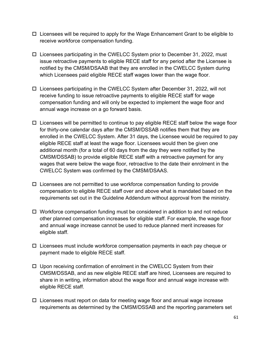- $\Box$  Licensees will be required to apply for the Wage Enhancement Grant to be eligible to receive workforce compensation funding.
- $\square$  Licensees participating in the CWELCC System prior to December 31, 2022, must issue retroactive payments to eligible RECE staff for any period after the Licensee is notified by the CMSM/DSAAB that they are enrolled in the CWELCC System during which Licensees paid eligible RECE staff wages lower than the wage floor.
- $\square$  Licensees participating in the CWELCC System after December 31, 2022, will not receive funding to issue retroactive payments to eligible RECE staff for wage compensation funding and will only be expected to implement the wage floor and annual wage increase on a go forward basis.
- $\Box$  Licensees will be permitted to continue to pay eligible RECE staff below the wage floor for thirty-one calendar days after the CMSM/DSSAB notifies them that they are enrolled in the CWELCC System. After 31 days, the Licensee would be required to pay eligible RECE staff at least the wage floor. Licensees would then be given one additional month (for a total of 60 days from the day they were notified by the CMSM/DSSAB) to provide eligible RECE staff with a retroactive payment for any wages that were below the wage floor, retroactive to the date their enrolment in the CWELCC System was confirmed by the CMSM/DSAAS.
- $\Box$  Licensees are not permitted to use workforce compensation funding to provide compensation to eligible RECE staff over and above what is mandated based on the requirements set out in the Guideline Addendum without approval from the ministry.
- $\Box$  Workforce compensation funding must be considered in addition to and not reduce other planned compensation increases for eligible staff. For example, the wage floor and annual wage increase cannot be used to reduce planned merit increases for eligible staff.
- $\Box$  Licensees must include workforce compensation payments in each pay cheque or payment made to eligible RECE staff.
- $\Box$  Upon receiving confirmation of enrolment in the CWELCC System from their CMSM/DSSAB, and as new eligible RECE staff are hired, Licensees are required to share in in writing, information about the wage floor and annual wage increase with eligible RECE staff.
- $\Box$  Licensees must report on data for meeting wage floor and annual wage increase requirements as determined by the CMSM/DSSAB and the reporting parameters set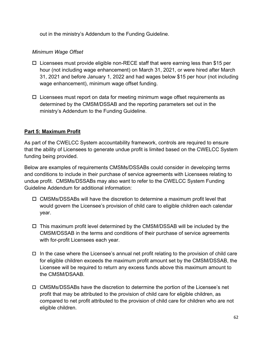out in the ministry's Addendum to the Funding Guideline.

## *Minimum Wage Offset*

- $\square$  Licensees must provide eligible non-RECE staff that were earning less than \$15 per hour (not including wage enhancement) on March 31, 2021, or were hired after March 31, 2021 and before January 1, 2022 and had wages below \$15 per hour (not including wage enhancement), minimum wage offset funding.
- $\Box$  Licensees must report on data for meeting minimum wage offset requirements as determined by the CMSM/DSSAB and the reporting parameters set out in the ministry's Addendum to the Funding Guideline.

## **Part 5: Maximum Profit**

As part of the CWELCC System accountability framework, controls are required to ensure that the ability of Licensees to generate undue profit is limited based on the CWELCC System funding being provided.

Below are examples of requirements CMSMs/DSSABs could consider in developing terms and conditions to include in their purchase of service agreements with Licensees relating to undue profit. CMSMs/DSSABs may also want to refer to the CWELCC System Funding Guideline Addendum for additional information:

- $\square$  CMSMs/DSSABs will have the discretion to determine a maximum profit level that would govern the Licensee's provision of child care to eligible children each calendar year.
- $\Box$  This maximum profit level determined by the CMSM/DSSAB will be included by the CMSM/DSSAB in the terms and conditions of their purchase of service agreements with for-profit Licensees each year.
- $\Box$  In the case where the Licensee's annual net profit relating to the provision of child care for eligible children exceeds the maximum profit amount set by the CMSM/DSSAB, the Licensee will be required to return any excess funds above this maximum amount to the CMSM/DSAAB.
- CMSMs/DSSABs have the discretion to determine the portion of the Licensee's net profit that may be attributed to the provision of child care for eligible children, as compared to net profit attributed to the provision of child care for children who are not eligible children.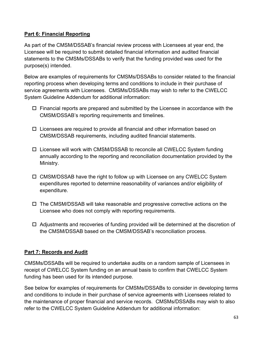## **Part 6: Financial Reporting**

As part of the CMSM/DSSAB's financial review process with Licensees at year end, the Licensee will be required to submit detailed financial information and audited financial statements to the CMSMs/DSSABs to verify that the funding provided was used for the purpose(s) intended.

Below are examples of requirements for CMSMs/DSSABs to consider related to the financial reporting process when developing terms and conditions to include in their purchase of service agreements with Licensees. CMSMs/DSSABs may wish to refer to the CWELCC System Guideline Addendum for additional information:

- $\Box$  Financial reports are prepared and submitted by the Licensee in accordance with the CMSM/DSSAB's reporting requirements and timelines.
- $\Box$  Licensees are required to provide all financial and other information based on CMSM/DSSAB requirements, including audited financial statements.
- $\Box$  Licensee will work with CMSM/DSSAB to reconcile all CWELCC System funding annually according to the reporting and reconciliation documentation provided by the Ministry.
- $\Box$  CMSM/DSSAB have the right to follow up with Licensee on any CWELCC System expenditures reported to determine reasonability of variances and/or eligibility of expenditure.
- $\Box$  The CMSM/DSSAB will take reasonable and progressive corrective actions on the Licensee who does not comply with reporting requirements.
- $\Box$  Adjustments and recoveries of funding provided will be determined at the discretion of the CMSM/DSSAB based on the CMSM/DSSAB's reconciliation process.

## **Part 7: Records and Audit**

CMSMs/DSSABs will be required to undertake audits on a random sample of Licensees in receipt of CWELCC System funding on an annual basis to confirm that CWELCC System funding has been used for its intended purpose.

See below for examples of requirements for CMSMs/DSSABs to consider in developing terms and conditions to include in their purchase of service agreements with Licensees related to the maintenance of proper financial and service records. CMSMs/DSSABs may wish to also refer to the CWELCC System Guideline Addendum for additional information: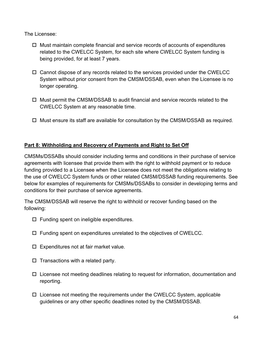The Licensee:

- $\Box$  Must maintain complete financial and service records of accounts of expenditures related to the CWELCC System, for each site where CWELCC System funding is being provided, for at least 7 years.
- $\Box$  Cannot dispose of any records related to the services provided under the CWELCC System without prior consent from the CMSM/DSSAB, even when the Licensee is no longer operating.
- $\Box$  Must permit the CMSM/DSSAB to audit financial and service records related to the CWELCC System at any reasonable time.
- $\Box$  Must ensure its staff are available for consultation by the CMSM/DSSAB as required.

## **Part 8: Withholding and Recovery of Payments and Right to Set Off**

CMSMs/DSSABs should consider including terms and conditions in their purchase of service agreements with licensee that provide them with the right to withhold payment or to reduce funding provided to a Licensee when the Licensee does not meet the obligations relating to the use of CWELCC System funds or other related CMSM/DSSAB funding requirements. See below for examples of requirements for CMSMs/DSSABs to consider in developing terms and conditions for their purchase of service agreements.

The CMSM/DSSAB will reserve the right to withhold or recover funding based on the following:

- $\Box$  Funding spent on ineligible expenditures.
- $\square$  Funding spent on expenditures unrelated to the objectives of CWELCC.
- $\square$  Expenditures not at fair market value.
- $\square$  Transactions with a related party.
- $\Box$  Licensee not meeting deadlines relating to request for information, documentation and reporting.
- $\Box$  Licensee not meeting the requirements under the CWELCC System, applicable guidelines or any other specific deadlines noted by the CMSM/DSSAB.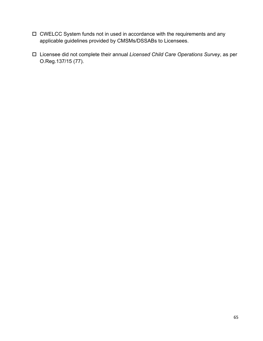- CWELCC System funds not in used in accordance with the requirements and any applicable guidelines provided by CMSMs/DSSABs to Licensees.
- Licensee did not complete their annual *Licensed Child Care Operations Survey*, as per O.Reg.137/15 (77).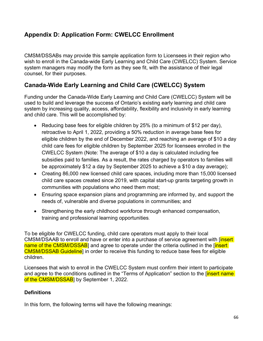## **Appendix D: Application Form: CWELCC Enrollment**

CMSM/DSSABs may provide this sample application form to Licensees in their region who wish to enroll in the Canada-wide Early Learning and Child Care (CWELCC) System. Service system managers may modify the form as they see fit, with the assistance of their legal counsel, for their purposes.

## **Canada-Wide Early Learning and Child Care (CWELCC) System**

Funding under the Canada-Wide Early Learning and Child Care (CWELCC) System will be used to build and leverage the success of Ontario's existing early learning and child care system by increasing quality, access, affordability, flexibility and inclusivity in early learning and child care. This will be accomplished by:

- Reducing base fees for eligible children by 25% (to a minimum of \$12 per day), retroactive to April 1, 2022, providing a 50% reduction in average base fees for eligible children by the end of December 2022, and reaching an average of \$10 a day child care fees for eligible children by September 2025 for licensees enrolled in the CWELCC System (Note: The average of \$10 a day is calculated including fee subsidies paid to families. As a result, the rates charged by operators to families will be approximately \$12 a day by September 2025 to achieve a \$10 a day average);
- Creating 86,000 new licensed child care spaces, including more than 15,000 licensed child care spaces created since 2019, with capital start-up grants targeting growth in communities with populations who need them most;
- Ensuring space expansion plans and programming are informed by, and support the needs of, vulnerable and diverse populations in communities; and
- Strengthening the early childhood workforce through enhanced compensation, training and professional learning opportunities.

To be eligible for CWELCC funding, child care operators must apply to their local CMSM/DSAAB to enroll and have or enter into a purchase of service agreement with [insert] name of the CMSM/DSSAB] and agree to operate under the criteria outlined in the [insert] CMSM/DSSAB Guideline] in order to receive this funding to reduce base fees for eligible children.

Licensees that wish to enroll in the CWELCC System must confirm their intent to participate and agree to the conditions outlined in the "Terms of Application" section to the finsert name of the CMSM/DSSAB<sub>l</sub> by September 1, 2022.

## **Definitions**

In this form, the following terms will have the following meanings: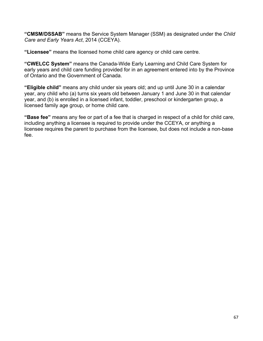**"CMSM/DSSAB"** means the Service System Manager (SSM) as designated under the *Child Care and Early Years Act*, 2014 (CCEYA).

**"Licensee"** means the licensed home child care agency or child care centre.

**"CWELCC System"** means the Canada-Wide Early Learning and Child Care System for early years and child care funding provided for in an agreement entered into by the Province of Ontario and the Government of Canada.

**"Eligible child"** means any child under six years old; and up until June 30 in a calendar year, any child who (a) turns six years old between January 1 and June 30 in that calendar year, and (b) is enrolled in a licensed infant, toddler, preschool or kindergarten group, a licensed family age group, or home child care.

**"Base fee"** means any fee or part of a fee that is charged in respect of a child for child care, including anything a licensee is required to provide under the CCEYA, or anything a licensee requires the parent to purchase from the licensee, but does not include a non-base fee.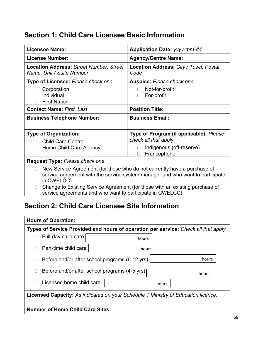# **Section 1: Child Care Licensee Basic Information**

| <b>Licensee Name:</b>                                                                                                                                                                                                                                    | <b>Application Date: yyyy-mm-dd</b>                                                                         |  |
|----------------------------------------------------------------------------------------------------------------------------------------------------------------------------------------------------------------------------------------------------------|-------------------------------------------------------------------------------------------------------------|--|
| <b>License Number:</b>                                                                                                                                                                                                                                   | <b>Agency/Centre Name:</b>                                                                                  |  |
| <b>Location Address: Street Number, Street</b><br>Name, Unit / Suite Number                                                                                                                                                                              | Location Address: City / Town, Postal<br>Code                                                               |  |
| Type of Licensee: Please check one.                                                                                                                                                                                                                      | Auspice: Please check one.                                                                                  |  |
| Corporation<br>Individual<br><b>First Nation</b>                                                                                                                                                                                                         | Not-for-profit<br>For-profit                                                                                |  |
| <b>Contact Name: First, Last</b>                                                                                                                                                                                                                         | <b>Position Title:</b>                                                                                      |  |
| <b>Business Telephone Number:</b>                                                                                                                                                                                                                        | <b>Business Email:</b>                                                                                      |  |
| <b>Type of Organization:</b><br><b>Child Care Centre</b><br>Home Child Care Agency                                                                                                                                                                       | Type of Program (if applicable): Please<br>check all that apply.<br>Indigenous (off-reserve)<br>Francophone |  |
| Request Type: Please check one.                                                                                                                                                                                                                          |                                                                                                             |  |
| New Service Agreement (for those who do not currently have a purchase of<br>service agreement with the service system manager and who want to participate<br>in CWELCC).<br>Change to Existing Service Agreement (for those with an existing purchase of |                                                                                                             |  |

service agreements and who want to participate in CWELCC).

# **Section 2: Child Care Licensee Site Information**

| <b>Hours of Operation:</b>                    |                                                |                                                                                          |  |
|-----------------------------------------------|------------------------------------------------|------------------------------------------------------------------------------------------|--|
|                                               |                                                | Types of Service Provided and hours of operation per service: Check all that apply.      |  |
| Full-day child care                           | hours                                          |                                                                                          |  |
| Part-time child care                          | hours                                          |                                                                                          |  |
|                                               | Before and/or after school programs (6-12 yrs) | hours                                                                                    |  |
| Before and/or after school programs (4-5 yrs) |                                                | hours                                                                                    |  |
| Licensed home child care                      |                                                | hours                                                                                    |  |
|                                               |                                                | <b>Licensed Capacity:</b> As indicated on your Schedule 1 Ministry of Education licence. |  |
| <b>Number of Home Child Care Sites:</b>       |                                                |                                                                                          |  |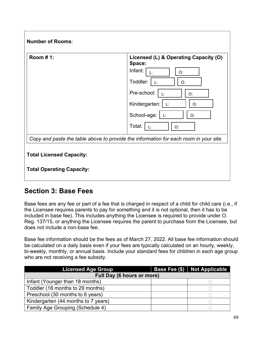| Room #1:                        | Licensed (L) & Operating Capacity (O)<br>Space:                                       |
|---------------------------------|---------------------------------------------------------------------------------------|
|                                 | Infant:<br>O:<br>L:                                                                   |
|                                 | Toddler:<br>$\mathsf{L}$ :<br>O:                                                      |
|                                 | Pre-school:<br>$\mathbf{L}$ :<br>O:                                                   |
|                                 | Kindergarten:<br>$\mathsf{L}$ :<br>O:                                                 |
|                                 | School-age:<br>$  \cdot  $ :<br>O:                                                    |
|                                 | Total:  <br>$\perp$ :<br>O:                                                           |
|                                 | Copy and paste the table above to provide the information for each room in your site. |
|                                 |                                                                                       |
| <b>Total Licensed Capacity:</b> |                                                                                       |

# **Section 3: Base Fees**

Base fees are any fee or part of a fee that is charged in respect of a child for child care (i.e., if the Licensee requires parents to pay for something and it is not optional, then it has to be included in base fee). This includes anything the Licensee is required to provide under O. Reg. 137/15, or anything the Licensee requires the parent to purchase from the Licensee, but does not include a non-base fee.

Base fee information should be the fees as of March 27, 2022. All base fee information should be calculated on a daily basis even if your fees are typically calculated on an hourly, weekly, bi-weekly, monthly, or annual basis. Include your standard fees for children in each age group who are not receiving a fee subsidy.

| <b>Licensed Age Group</b>               |  | Base Fee (\$)   Not Applicable |  |  |
|-----------------------------------------|--|--------------------------------|--|--|
| Full Day (6 hours or more)              |  |                                |  |  |
| Infant (Younger than 18 months)         |  |                                |  |  |
| Toddler (18 months to 29 months)        |  |                                |  |  |
| Preschool (30 months to 6 years)        |  |                                |  |  |
| Kindergarten (44 months to 7 years)     |  |                                |  |  |
| <b>Family Age Grouping (Schedule 4)</b> |  |                                |  |  |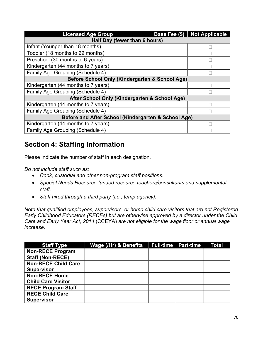| <b>Licensed Age Group</b>                           |  | Base Fee (\$)   Not Applicable |  |
|-----------------------------------------------------|--|--------------------------------|--|
| Half Day (fewer than 6 hours)                       |  |                                |  |
| Infant (Younger than 18 months)                     |  |                                |  |
| Toddler (18 months to 29 months)                    |  |                                |  |
| Preschool (30 months to 6 years)                    |  |                                |  |
| Kindergarten (44 months to 7 years)                 |  |                                |  |
| Family Age Grouping (Schedule 4)                    |  |                                |  |
| Before School Only (Kindergarten & School Age)      |  |                                |  |
| Kindergarten (44 months to 7 years)                 |  |                                |  |
| Family Age Grouping (Schedule 4)                    |  |                                |  |
| After School Only (Kindergarten & School Age)       |  |                                |  |
| Kindergarten (44 months to 7 years)                 |  |                                |  |
| Family Age Grouping (Schedule 4)                    |  |                                |  |
| Before and After School (Kindergarten & School Age) |  |                                |  |
| Kindergarten (44 months to 7 years)                 |  |                                |  |
| <b>Family Age Grouping (Schedule 4)</b>             |  |                                |  |

# **Section 4: Staffing Information**

Please indicate the number of staff in each designation.

*Do not include staff such as:*

- *Cook, custodial and other non-program staff positions.*
- *Special Needs Resource-funded resource teachers/consultants and supplemental staff.*
- *Staff hired through a third party (i.e., temp agency).*

*Note that qualified employees, supervisors, or home child care visitors that are not Registered Early Childhood Educators (RECEs) but are otherwise approved by a director under the Child Care and Early Year Act, 2014* (CCEYA) *are not eligible for the wage floor or annual wage increase.*

| <b>Staff Type</b>          | Wage (/Hr) & Benefits | <b>Full-time Part-time</b> | Total |
|----------------------------|-----------------------|----------------------------|-------|
| <b>Non-RECE Program</b>    |                       |                            |       |
| <b>Staff (Non-RECE)</b>    |                       |                            |       |
| <b>Non-RECE Child Care</b> |                       |                            |       |
| <b>Supervisor</b>          |                       |                            |       |
| <b>Non-RECE Home</b>       |                       |                            |       |
| <b>Child Care Visitor</b>  |                       |                            |       |
| <b>RECE Program Staff</b>  |                       |                            |       |
| <b>RECE Child Care</b>     |                       |                            |       |
| <b>Supervisor</b>          |                       |                            |       |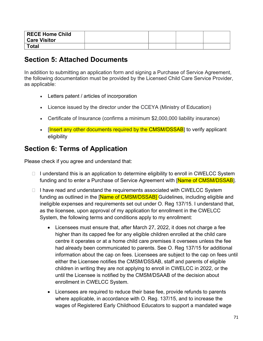| RECE Home Child<br><b>Care Visitor</b> |  |  |
|----------------------------------------|--|--|
| Total                                  |  |  |

# **Section 5: Attached Documents**

In addition to submitting an application form and signing a Purchase of Service Agreement, the following documentation must be provided by the Licensed Child Care Service Provider, as applicable:

- Letters patent / articles of incorporation
- Licence issued by the director under the CCEYA (Ministry of Education)
- Certificate of Insurance (confirms a minimum \$2,000,000 liability insurance)
- [Insert any other documents required by the CMSM/DSSAB] to verify applicant eligibility

# **Section 6: Terms of Application**

Please check if you agree and understand that:

- $\Box$  I understand this is an application to determine eligibility to enroll in CWELCC System funding and to enter a Purchase of Service Agreement with [Name of CMSM/DSSAB].
- $\Box$  I have read and understand the requirements associated with CWELCC System funding as outlined in the [Name of CMSM/DSSAB] Guidelines, including eligible and ineligible expenses and requirements set out under O. Reg 137/15. I understand that, as the licensee, upon approval of my application for enrollment in the CWELCC System, the following terms and conditions apply to my enrollment:
	- Licensees must ensure that, after March 27, 2022, it does not charge a fee higher than its capped fee for any eligible children enrolled at the child care centre it operates or at a home child care premises it oversees unless the fee had already been communicated to parents. See O. Reg 137/15 for additional information about the cap on fees. Licensees are subject to the cap on fees until either the Licensee notifies the CMSM/DSSAB, staff and parents of eligible children in writing they are not applying to enroll in CWELCC in 2022, or the until the Licensee is notified by the CMSM/DSAAB of the decision about enrollment in CWELCC System.
	- Licensees are required to reduce their base fee, provide refunds to parents where applicable, in accordance with O. Reg. 137/15, and to increase the wages of Registered Early Childhood Educators to support a mandated wage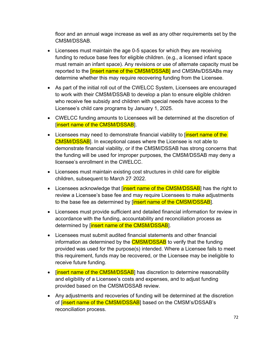floor and an annual wage increase as well as any other requirements set by the CMSM/DSSAB.

- Licensees must maintain the age 0-5 spaces for which they are receiving funding to reduce base fees for eligible children. (e.g., a licensed infant space must remain an infant space). Any revisions or use of alternate capacity must be reported to the *[insert name of the CMSM/DSSAB]* and CMSMs/DSSABs may determine whether this may require recovering funding from the Licensee.
- As part of the initial roll out of the CWELCC System, Licensees are encouraged to work with their CMSM/DSSAB to develop a plan to ensure eligible children who receive fee subsidy and children with special needs have access to the Licensee's child care programs by January 1, 2025.
- CWELCC funding amounts to Licensees will be determined at the discretion of [Insert name of the CMSM/DSSAB].
- Licensees may need to demonstrate financial viability to *[insert name of the*] CMSM/DSSAB]. In exceptional cases where the Licensee is not able to demonstrate financial viability, or if the CMSM/DSSAB has strong concerns that the funding will be used for improper purposes, the CMSM/DSSAB may deny a licensee's enrollment in the CWELCC.
- Licensees must maintain existing cost structures in child care for eligible children, subsequent to March 27, 2022.
- Licensees acknowledge that [insert name of the CMSM/DSSAB] has the right to review a Licensee's base fee and may require Licensees to make adjustments to the base fee as determined by [insert name of the CMSM/DSSAB].
- Licensees must provide sufficient and detailed financial information for review in accordance with the funding, accountability and reconciliation process as determined by [insert name of the CMSM/DSSAB].
- Licensees must submit audited financial statements and other financial information as determined by the **CMSM/DSSAB** to verify that the funding provided was used for the purpose(s) intended. Where a Licensee fails to meet this requirement, funds may be recovered, or the Licensee may be ineligible to receive future funding.
- [insert name of the CMSM/DSSAB] has discretion to determine reasonability and eligibility of a Licensee's costs and expenses, and to adjust funding provided based on the CMSM/DSSAB review.
- Any adjustments and recoveries of funding will be determined at the discretion of [insert name of the CMSM/DSSAB] based on the CMSM's/DSSAB's reconciliation process.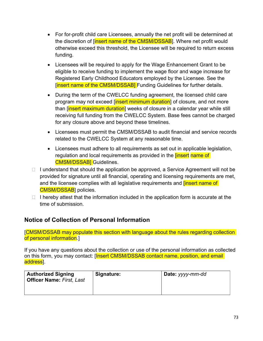- For for-profit child care Licensees, annually the net profit will be determined at the discretion of [insert name of the CMSM/DSSAB]. Where net profit would otherwise exceed this threshold, the Licensee will be required to return excess funding.
- Licensees will be required to apply for the Wage Enhancement Grant to be eligible to receive funding to implement the wage floor and wage increase for Registered Early Childhood Educators employed by the Licensee. See the [insert name of the CMSM/DSSAB] Funding Guidelines for further details.
- During the term of the CWELCC funding agreement, the licensed child care program may not exceed [insert minimum duration] of closure, and not more than [insert maximum duration] weeks of closure in a calendar year while still receiving full funding from the CWELCC System. Base fees cannot be charged for any closure above and beyond these timelines.
- Licensees must permit the CMSM/DSSAB to audit financial and service records related to the CWELCC System at any reasonable time.
- Licensees must adhere to all requirements as set out in applicable legislation, regulation and local requirements as provided in the **[insert name of** CMSM/DSSAB] Guidelines.
- $\Box$  I understand that should the application be approved, a Service Agreement will not be provided for signature until all financial, operating and licensing requirements are met, and the licensee complies with all legislative requirements and **[insert name of** CMSM/DSSAB] policies.
- $\Box$  I hereby attest that the information included in the application form is accurate at the time of submission.

## **Notice of Collection of Personal Information**

[CMSM/DSSAB may populate this section with language about the rules regarding collection of personal information.]

If you have any questions about the collection or use of the personal information as collected on this form, you may contact: [Insert CMSM/DSSAB contact name, position, and email] address].

| <b>Authorized Signing</b><br><b>Officer Name: First, Last</b> | Signature: | Date: yyyy-mm-dd |
|---------------------------------------------------------------|------------|------------------|
|                                                               |            |                  |